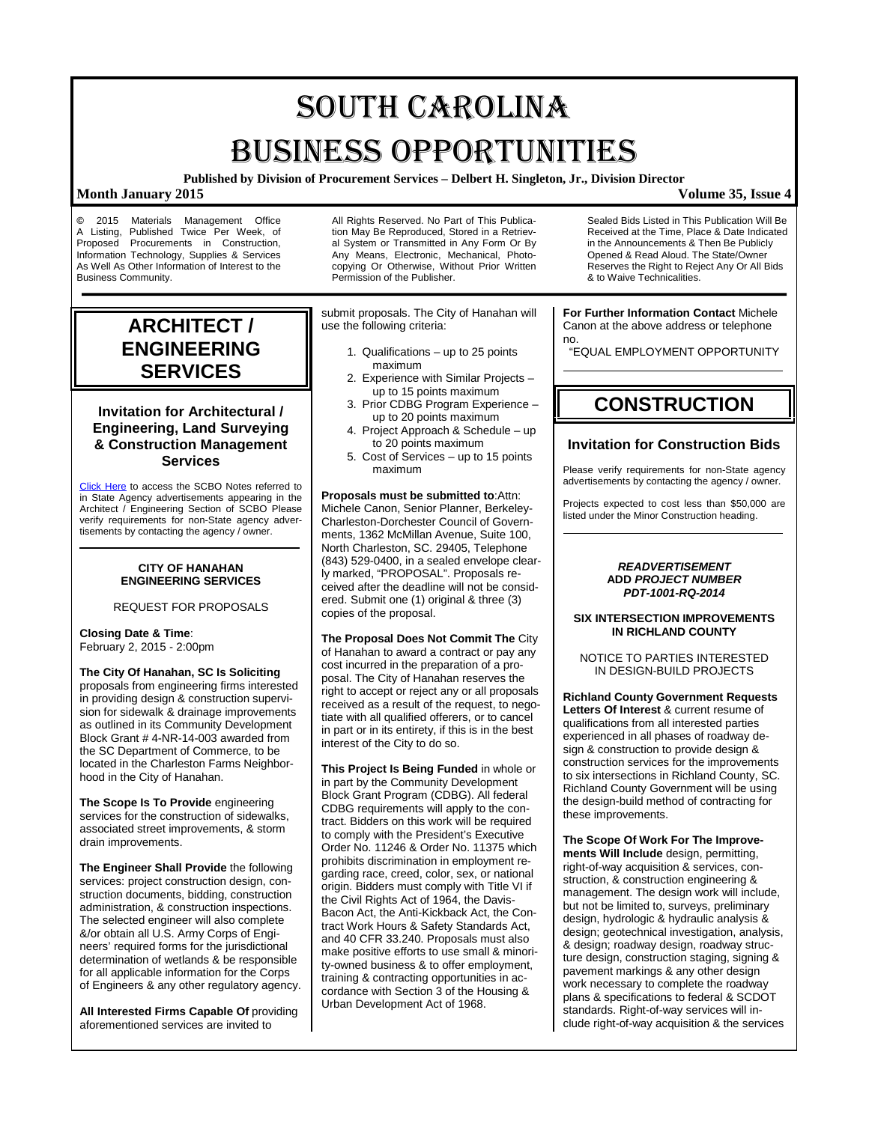# SOUTH CAROLINA BUSINESS OPPORTUNITIES

**Published by Division of Procurement Services – Delbert H. Singleton, Jr., Division Director**

### **Month January 2015 Volume 35, Issue 4**

**©** 2015 Materials Management Office A Listing, Published Twice Per Week, of Proposed Procurements in Construction. Procurements in Construction, Information Technology, Supplies & Services As Well As Other Information of Interest to the Business Community.

## **ARCHITECT / ENGINEERING SERVICES**

### **Invitation for Architectural / Engineering, Land Surveying & Construction Management Services**

[Click Here](http://www.mmo.sc.gov/PS/general/scbo/SCBO_Notes_060512.pdf) to access the SCBO Notes referred to in State Agency advertisements appearing in the Architect / Engineering Section of SCBO Please verify requirements for non-State agency advertisements by contacting the agency / owner.

### **CITY OF HANAHAN ENGINEERING SERVICES**

REQUEST FOR PROPOSALS

**Closing Date & Time**: February 2, 2015 - 2:00pm

**The City Of Hanahan, SC Is Soliciting** proposals from engineering firms interested in providing design & construction supervision for sidewalk & drainage improvements as outlined in its Community Development Block Grant # 4-NR-14-003 awarded from the SC Department of Commerce, to be located in the Charleston Farms Neighborhood in the City of Hanahan.

**The Scope Is To Provide** engineering services for the construction of sidewalks, associated street improvements, & storm drain improvements.

**The Engineer Shall Provide** the following services: project construction design, construction documents, bidding, construction administration, & construction inspections. The selected engineer will also complete &/or obtain all U.S. Army Corps of Engineers' required forms for the jurisdictional determination of wetlands & be responsible for all applicable information for the Corps of Engineers & any other regulatory agency.

**All Interested Firms Capable Of** providing aforementioned services are invited to

All Rights Reserved. No Part of This Publication May Be Reproduced, Stored in a Retrieval System or Transmitted in Any Form Or By Any Means, Electronic, Mechanical, Photocopying Or Otherwise, Without Prior Written Permission of the Publisher.

submit proposals. The City of Hanahan will use the following criteria:

- 1. Qualifications up to 25 points maximum
- 2. Experience with Similar Projects up to 15 points maximum
- 3. Prior CDBG Program Experience up to 20 points maximum
- 4. Project Approach & Schedule up to 20 points maximum
- 5. Cost of Services up to 15 points maximum

### **Proposals must be submitted to**:Attn:

Michele Canon, Senior Planner, Berkeley-Charleston-Dorchester Council of Governments, 1362 McMillan Avenue, Suite 100, North Charleston, SC. 29405, Telephone (843) 529-0400, in a sealed envelope clearly marked, "PROPOSAL". Proposals received after the deadline will not be considered. Submit one (1) original & three (3) copies of the proposal.

**The Proposal Does Not Commit The** City of Hanahan to award a contract or pay any cost incurred in the preparation of a proposal. The City of Hanahan reserves the right to accept or reject any or all proposals received as a result of the request, to negotiate with all qualified offerers, or to cancel in part or in its entirety, if this is in the best interest of the City to do so.

**This Project Is Being Funded** in whole or in part by the Community Development Block Grant Program (CDBG). All federal CDBG requirements will apply to the contract. Bidders on this work will be required to comply with the President's Executive Order No. 11246 & Order No. 11375 which prohibits discrimination in employment regarding race, creed, color, sex, or national origin. Bidders must comply with Title VI if the Civil Rights Act of 1964, the Davis-Bacon Act, the Anti-Kickback Act, the Contract Work Hours & Safety Standards Act, and 40 CFR 33.240. Proposals must also make positive efforts to use small & minority-owned business & to offer employment, training & contracting opportunities in accordance with Section 3 of the Housing & Urban Development Act of 1968.

Sealed Bids Listed in This Publication Will Be Received at the Time, Place & Date Indicated in the Announcements & Then Be Publicly Opened & Read Aloud. The State/Owner Reserves the Right to Reject Any Or All Bids & to Waive Technicalities.

**For Further Information Contact** Michele Canon at the above address or telephone no.

"EQUAL EMPLOYMENT OPPORTUNITY

## **CONSTRUCTION**

### **Invitation for Construction Bids**

Please verify requirements for non-State agency advertisements by contacting the agency / owner.

Projects expected to cost less than \$50,000 are listed under the Minor Construction heading.

### *READVERTISEMENT* **ADD** *PROJECT NUMBER PDT-1001-RQ-2014*

### **SIX INTERSECTION IMPROVEMENTS IN RICHLAND COUNTY**

NOTICE TO PARTIES INTERESTED IN DESIGN-BUILD PROJECTS

**Richland County Government Requests Letters Of Interest** & current resume of qualifications from all interested parties experienced in all phases of roadway design & construction to provide design & construction services for the improvements to six intersections in Richland County, SC. Richland County Government will be using the design-build method of contracting for these improvements.

**The Scope Of Work For The Improvements Will Include** design, permitting, right-of-way acquisition & services, construction, & construction engineering & management. The design work will include, but not be limited to, surveys, preliminary design, hydrologic & hydraulic analysis &

design; geotechnical investigation, analysis, & design; roadway design, roadway structure design, construction staging, signing & pavement markings & any other design work necessary to complete the roadway plans & specifications to federal & SCDOT standards. Right-of-way services will include right-of-way acquisition & the services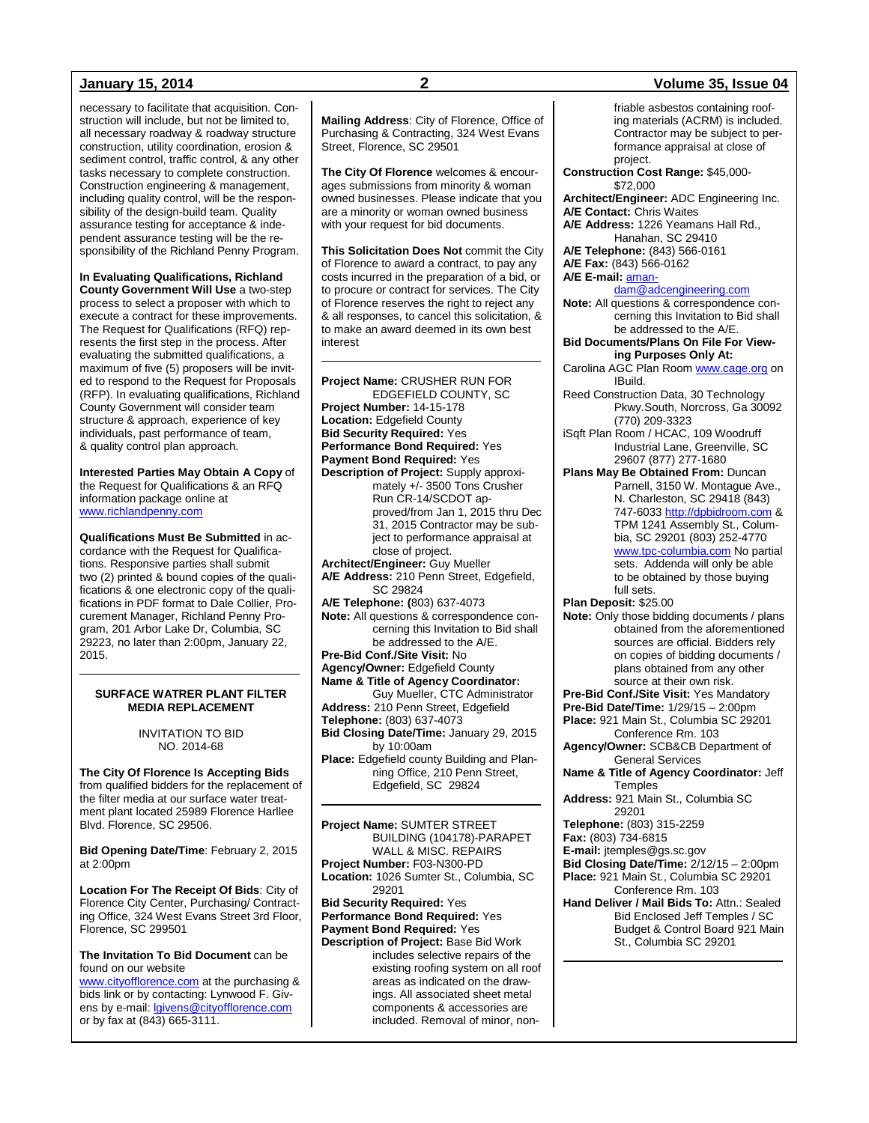necessary to facilitate that acquisition. Construction will include, but not be limited to, all necessary roadway & roadway structure construction, utility coordination, erosion & sediment control, traffic control, & any other tasks necessary to complete construction. Construction engineering & management, including quality control, will be the responsibility of the design-build team. Quality assurance testing for acceptance & independent assurance testing will be the responsibility of the Richland Penny Program.

**In Evaluating Qualifications, Richland** 

**County Government Will Use** a two-step process to select a proposer with which to execute a contract for these improvements. The Request for Qualifications (RFQ) represents the first step in the process. After evaluating the submitted qualifications, a maximum of five (5) proposers will be invited to respond to the Request for Proposals (RFP). In evaluating qualifications, Richland County Government will consider team structure & approach, experience of key individuals, past performance of team, & quality control plan approach.

**Interested Parties May Obtain A Copy** of the Request for Qualifications & an RFQ information package online at [www.richlandpenny.com](http://www.richlandpenny.com/)

**Qualifications Must Be Submitted** in accordance with the Request for Qualifications. Responsive parties shall submit two (2) printed & bound copies of the qualifications & one electronic copy of the qualifications in PDF format to Dale Collier, Procurement Manager, Richland Penny Program, 201 Arbor Lake Dr, Columbia, SC 29223, no later than 2:00pm, January 22, 2015.

### **SURFACE WATRER PLANT FILTER MEDIA REPLACEMENT**

INVITATION TO BID NO. 2014-68

**The City Of Florence Is Accepting Bids** from qualified bidders for the replacement of the filter media at our surface water treatment plant located 25989 Florence Harllee Blvd. Florence, SC 29506.

**Bid Opening Date/Time**: February 2, 2015 at 2:00pm

**Location For The Receipt Of Bids**: City of Florence City Center, Purchasing/ Contracting Office, 324 West Evans Street 3rd Floor, Florence, SC 299501

**The Invitation To Bid Document** can be found on our website

[www.cityofflorence.com](http://www.cityofflorence.com/) at the purchasing & bids link or by contacting: Lynwood F. Givens by e-mail[: lgivens@cityofflorence.com](mailto:lgivens@cityofflorence.com) or by fax at (843) 665-3111.

**Mailing Address**: City of Florence, Office of Purchasing & Contracting, 324 West Evans Street, Florence, SC 29501

**The City Of Florence** welcomes & encourages submissions from minority & woman owned businesses. Please indicate that you are a minority or woman owned business with your request for bid documents.

**This Solicitation Does Not** commit the City of Florence to award a contract, to pay any costs incurred in the preparation of a bid, or to procure or contract for services. The City of Florence reserves the right to reject any & all responses, to cancel this solicitation, & to make an award deemed in its own best interest

**Project Name:** CRUSHER RUN FOR EDGEFIELD COUNTY, SC **Project Number:** 14-15-178 **Location:** Edgefield County **Bid Security Required:** Yes **Performance Bond Required:** Yes **Payment Bond Required:** Yes **Description of Project:** Supply approximately +/- 3500 Tons Crusher Run CR-14/SCDOT approved/from Jan 1, 2015 thru Dec 31, 2015 Contractor may be subject to performance appraisal at close of project. **Architect/Engineer:** Guy Mueller **A/E Address:** 210 Penn Street, Edgefield, SC 29824 **A/E Telephone: (**803) 637-4073 **Note:** All questions & correspondence concerning this Invitation to Bid shall be addressed to the A/E. **Pre-Bid Conf./Site Visit:** No **Agency/Owner:** Edgefield County **Name & Title of Agency Coordinator:** Guy Mueller, CTC Administrator **Address:** 210 Penn Street, Edgefield **Telephone:** (803) 637-4073 **Bid Closing Date/Time:** January 29, 2015 by 10:00am **Place:** Edgefield county Building and Planning Office, 210 Penn Street, Edgefield, SC 29824 **Project Name:** SUMTER STREET

BUILDING (104178)-PARAPET WALL & MISC. REPAIRS **Project Number:** F03-N300-PD **Location:** 1026 Sumter St., Columbia, SC 29201 **Bid Security Required:** Yes **Performance Bond Required:** Yes **Payment Bond Required:** Yes **Description of Project:** Base Bid Work includes selective repairs of the existing roofing system on all roof areas as indicated on the drawings. All associated sheet metal components & accessories are included. Removal of minor, non-

### formance appraisal at close of project. **Construction Cost Range:** \$45,000- \$72,000 **Architect/Engineer:** ADC Engineering Inc. **A/E Contact:** Chris Waites **A/E Address:** 1226 Yeamans Hall Rd., Hanahan, SC 29410 **A/E Telephone:** (843) 566-0161 **A/E Fax:** (843) 566-0162 **A/E E-mail:** [aman](mailto:amandam@adcengineering.com)[dam@adcengineering.com](mailto:amandam@adcengineering.com) **Note:** All questions & correspondence concerning this Invitation to Bid shall be addressed to the A/E. **Bid Documents/Plans On File For Viewing Purposes Only At:** Carolina AGC Plan Room [www.cage.org](http://www.cage.org/) on IBuild. Reed Construction Data, 30 Technology Pkwy.South, Norcross, Ga 30092 (770) 209-3323 iSqft Plan Room / HCAC, 109 Woodruff Industrial Lane, Greenville, SC 29607 (877) 277-1680 **Plans May Be Obtained From:** Duncan Parnell, 3150 W. Montague Ave., N. Charleston, SC 29418 (843) 747-6033 [http://dpbidroom.com](http://dpbidroom.com/) & TPM 1241 Assembly St., Columbia, SC 29201 (803) 252-4770 [www.tpc-columbia.com](http://www.tpc-columbia.com/) No partial sets. Addenda will only be able to be obtained by those buying full sets. **Plan Deposit:** \$25.00 **Note:** Only those bidding documents / plans obtained from the aforementioned sources are official. Bidders rely on copies of bidding documents / plans obtained from any other source at their own risk. **Pre-Bid Conf./Site Visit:** Yes Mandatory **Pre-Bid Date/Time:** 1/29/15 – 2:00pm **Place:** 921 Main St., Columbia SC 29201 Conference Rm. 103 **Agency/Owner:** SCB&CB Department of General Services **Name & Title of Agency Coordinator:** Jeff **Temples Address:** 921 Main St., Columbia SC 29201 **Telephone:** (803) 315-2259 **Fax:** (803) 734-6815 **E-mail:** jtemples@gs.sc.gov **Bid Closing Date/Time:** 2/12/15 – 2:00pm **Place:** 921 Main St., Columbia SC 29201 Conference Rm. 103 **Hand Deliver / Mail Bids To:** Attn.: Sealed Bid Enclosed Jeff Temples / SC

Budget & Control Board 921 Main St., Columbia SC 29201

### **January 15, 2014 2 Volume 35, Issue 04**

friable asbestos containing roofing materials (ACRM) is included. Contractor may be subject to per-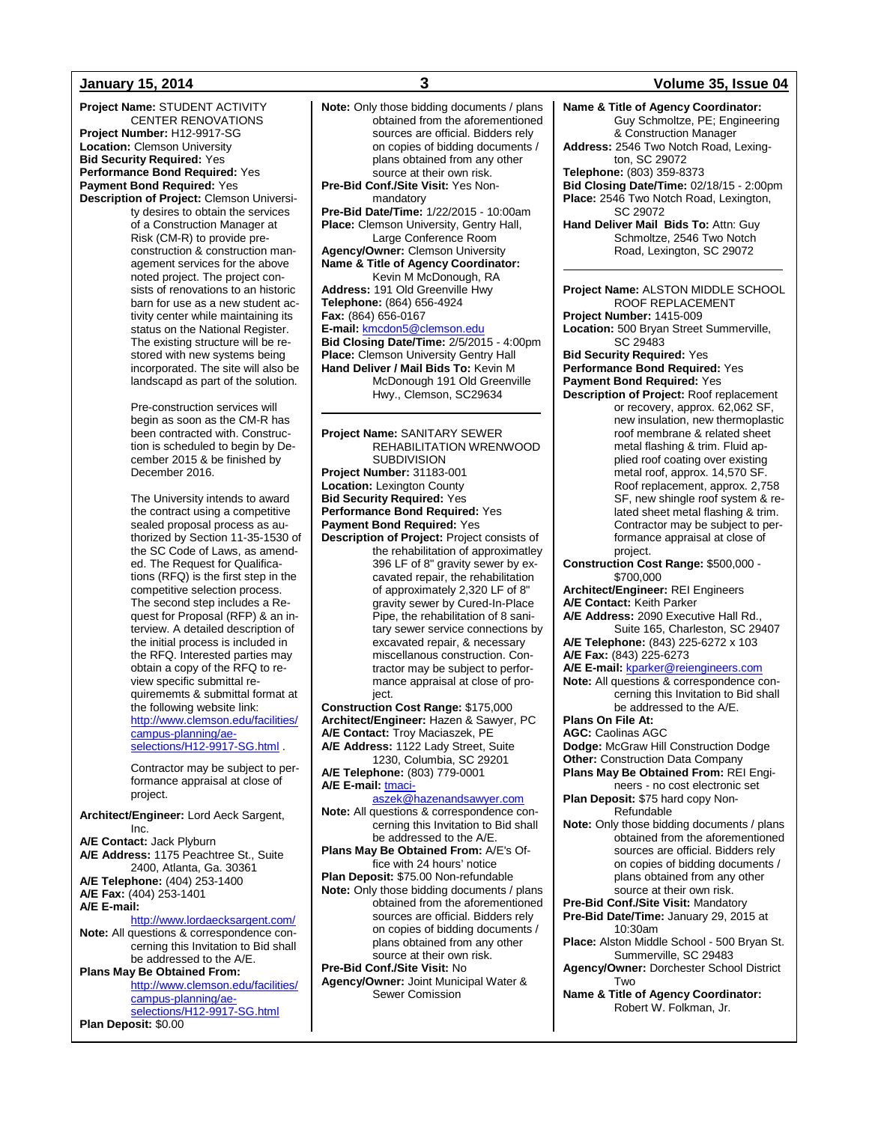**Project Name:** STUDENT ACTIVITY CENTER RENOVATIONS **Project Number:** H12-9917-SG **Location:** Clemson University **Bid Security Required:** Yes **Performance Bond Required:** Yes **Payment Bond Required:** Yes **Description of Project:** Clemson Universi-

ty desires to obtain the services of a Construction Manager at Risk (CM-R) to provide preconstruction & construction management services for the above noted project. The project consists of renovations to an historic barn for use as a new student activity center while maintaining its status on the National Register. The existing structure will be restored with new systems being incorporated. The site will also be landscapd as part of the solution.

Pre-construction services will begin as soon as the CM-R has been contracted with. Construction is scheduled to begin by December 2015 & be finished by December 2016.

The University intends to award the contract using a competitive sealed proposal process as authorized by Section 11-35-1530 of the SC Code of Laws, as amended. The Request for Qualifications (RFQ) is the first step in the competitive selection process. The second step includes a Request for Proposal (RFP) & an interview. A detailed description of the initial process is included in the RFQ. Interested parties may obtain a copy of the RFQ to review specific submittal requirememts & submittal format at the following website link: [http://www.clemson.edu/facilities/](http://www.clemson.edu/facilities/campus-planning/ae-selections/H12-9917-SG.html) [campus-planning/ae](http://www.clemson.edu/facilities/campus-planning/ae-selections/H12-9917-SG.html)[selections/H12-9917-SG.html](http://www.clemson.edu/facilities/campus-planning/ae-selections/H12-9917-SG.html)

Contractor may be subject to performance appraisal at close of project.

**Architect/Engineer:** Lord Aeck Sargent, Inc. **A/E Contact:** Jack Plyburn **A/E Address:** 1175 Peachtree St., Suite 2400, Atlanta, Ga. 30361 **A/E Telephone:** (404) 253-1400 **A/E Fax:** (404) 253-1401 **A/E E-mail:** <http://www.lordaecksargent.com/>

**Note:** All questions & correspondence concerning this Invitation to Bid shall be addressed to the A/E. **Plans May Be Obtained From:**

[http://www.clemson.edu/facilities/](http://www.clemson.edu/facilities/campus-planning/ae-selections/H12-9917-SG.html) [campus-planning/ae](http://www.clemson.edu/facilities/campus-planning/ae-selections/H12-9917-SG.html)[selections/H12-9917-SG.html](http://www.clemson.edu/facilities/campus-planning/ae-selections/H12-9917-SG.html)

**Plan Deposit:** \$0.00

**Note:** Only those bidding documents / plans obtained from the aforementioned sources are official. Bidders rely on copies of bidding documents / plans obtained from any other source at their own risk. **Pre-Bid Conf./Site Visit:** Yes Nonmandatory **Pre-Bid Date/Time:** 1/22/2015 - 10:00am **Place:** Clemson University, Gentry Hall, Large Conference Room **Agency/Owner:** Clemson University **Name & Title of Agency Coordinator:** Kevin M McDonough, RA **Address:** 191 Old Greenville Hwy **Telephone:** (864) 656-4924 **Fax:** (864) 656-0167 **E-mail:** [kmcdon5@clemson.edu](mailto:kmcdon5@clemson.edu) **Bid Closing Date/Time:** 2/5/2015 - 4:00pm **Place:** Clemson University Gentry Hall **Hand Deliver / Mail Bids To:** Kevin M McDonough 191 Old Greenville Hwy., Clemson, SC29634

**Project Name:** SANITARY SEWER REHABILITATION WRENWOOD SUBDIVISION **Project Number:** 31183-001 **Location:** Lexington County **Bid Security Required:** Yes **Performance Bond Required:** Yes **Payment Bond Required:** Yes **Description of Project:** Project consists of the rehabilitation of approximatley 396 LF of 8" gravity sewer by excavated repair, the rehabilitation of approximately 2,320 LF of 8" gravity sewer by Cured-In-Place Pipe, the rehabilitation of 8 sanitary sewer service connections by excavated repair, & necessary miscellanous construction. Contractor may be subject to performance appraisal at close of project. **Construction Cost Range:** \$175,000 **Architect/Engineer:** Hazen & Sawyer, PC **A/E Contact:** Troy Maciaszek, PE **A/E Address:** 1122 Lady Street, Suite 1230, Columbia, SC 29201 **A/E Telephone:** (803) 779-0001 **A/E E-mail:** [tmaci](mailto:tmaciaszek@hazenandsawyer.com)[aszek@hazenandsawyer.com](mailto:tmaciaszek@hazenandsawyer.com) **Note:** All questions & correspondence concerning this Invitation to Bid shall be addressed to the A/E. **Plans May Be Obtained From:** A/E's Office with 24 hours' notice **Plan Deposit:** \$75.00 Non-refundable **Note:** Only those bidding documents / plans obtained from the aforementioned sources are official. Bidders rely on copies of bidding documents / plans obtained from any other

source at their own risk. **Pre-Bid Conf./Site Visit:** No **Agency/Owner:** Joint Municipal Water & Sewer Comission

### **January 15, 2014 3 Volume 35, Issue 04**

**Name & Title of Agency Coordinator:** Guy Schmoltze, PE; Engineering & Construction Manager **Address:** 2546 Two Notch Road, Lexington, SC 29072 **Telephone:** (803) 359-8373 **Bid Closing Date/Time:** 02/18/15 - 2:00pm **Place:** 2546 Two Notch Road, Lexington, SC 29072 **Hand Deliver Mail Bids To:** Attn: Guy Schmoltze, 2546 Two Notch Road, Lexington, SC 29072 **Project Name:** ALSTON MIDDLE SCHOOL ROOF REPLACEMENT **Project Number:** 1415-009 **Location:** 500 Bryan Street Summerville, SC 29483 **Bid Security Required:** Yes **Performance Bond Required:** Yes **Payment Bond Required:** Yes **Description of Project:** Roof replacement or recovery, approx. 62,062 SF, new insulation, new thermoplastic roof membrane & related sheet metal flashing & trim. Fluid applied roof coating over existing metal roof, approx. 14,570 SF. Roof replacement, approx. 2,758 SF, new shingle roof system & related sheet metal flashing & trim. Contractor may be subject to performance appraisal at close of project. **Construction Cost Range:** \$500,000 - \$700,000 **Architect/Engineer:** REI Engineers **A/E Contact:** Keith Parker **A/E Address:** 2090 Executive Hall Rd., Suite 165, Charleston, SC 29407 **A/E Telephone:** (843) 225-6272 x 103 **A/E Fax:** (843) 225-6273 **A/E E-mail:** [kparker@reiengineers.com](mailto:kparker@reiengineers.com) **Note:** All questions & correspondence concerning this Invitation to Bid shall be addressed to the A/E. **Plans On File At: AGC:** Caolinas AGC **Dodge:** McGraw Hill Construction Dodge **Other:** Construction Data Company **Plans May Be Obtained From:** REI Engineers - no cost electronic set **Plan Deposit:** \$75 hard copy Non-Refundable **Note:** Only those bidding documents / plans obtained from the aforementioned sources are official. Bidders rely on copies of bidding documents / plans obtained from any other source at their own risk. **Pre-Bid Conf./Site Visit:** Mandatory **Pre-Bid Date/Time:** January 29, 2015 at 10:30am **Place:** Alston Middle School - 500 Bryan St. Summerville, SC 29483 **Agency/Owner:** Dorchester School District Two **Name & Title of Agency Coordinator:** Robert W. Folkman, Jr.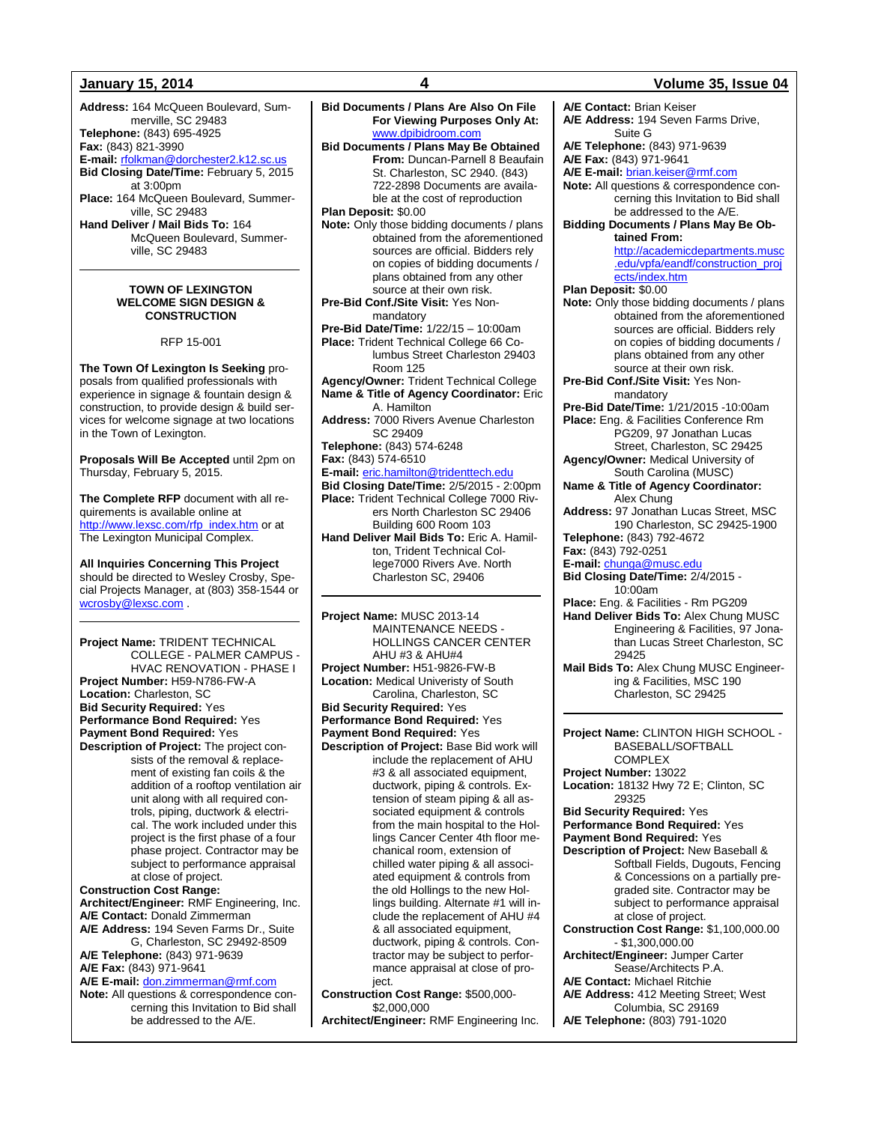**Address:** 164 McQueen Boulevard, Summerville, SC 29483 **Telephone:** (843) 695-4925 **Fax:** (843) 821-3990 **E-mail:** [rfolkman@dorchester2.k12.sc.us](mailto:rfolkman@dorchester2.k12.sc.us) **Bid Closing Date/Time:** February 5, 2015 at 3:00pm **Place:** 164 McQueen Boulevard, Summerville, SC 29483 **Hand Deliver / Mail Bids To:** 164 McQueen Boulevard, Summerville, SC 29483

### **TOWN OF LEXINGTON WELCOME SIGN DESIGN & CONSTRUCTION**

RFP 15-001

**The Town Of Lexington Is Seeking** proposals from qualified professionals with experience in signage & fountain design & construction, to provide design & build services for welcome signage at two locations in the Town of Lexington.

**Proposals Will Be Accepted** until 2pm on Thursday, February 5, 2015.

**The Complete RFP** document with all requirements is available online at [http://www.lexsc.com/rfp\\_index.htm](http://www.lexsc.com/rfp_index.htm) or at The Lexington Municipal Complex.

**All Inquiries Concerning This Project** should be directed to Wesley Crosby, Special Projects Manager, at (803) 358-1544 or [wcrosby@lexsc.com](mailto:wcrosby@lexsc.com) .

**Project Name:** TRIDENT TECHNICAL COLLEGE - PALMER CAMPUS - HVAC RENOVATION - PHASE I **Project Number:** H59-N786-FW-A **Location:** Charleston, SC **Bid Security Required:** Yes **Performance Bond Required:** Yes **Payment Bond Required:** Yes **Description of Project:** The project con-

sists of the removal & replacement of existing fan coils & the addition of a rooftop ventilation air unit along with all required controls, piping, ductwork & electrical. The work included under this project is the first phase of a four phase project. Contractor may be subject to performance appraisal at close of project.

**Construction Cost Range: Architect/Engineer:** RMF Engineering, Inc. **A/E Contact:** Donald Zimmerman **A/E Address:** 194 Seven Farms Dr., Suite G, Charleston, SC 29492-8509

**A/E Telephone:** (843) 971-9639 **A/E Fax:** (843) 971-9641

**A/E E-mail:** [don.zimmerman@rmf.com](mailto:don.zimmerman@rmf.com)

**Note:** All questions & correspondence concerning this Invitation to Bid shall be addressed to the A/E.

**Bid Documents / Plans Are Also On File For Viewing Purposes Only At:**  [www.dpibidroom.com](http://www.dpibidroom.com/) **Bid Documents / Plans May Be Obtained From:** Duncan-Parnell 8 Beaufain St. Charleston, SC 2940. (843) 722-2898 Documents are available at the cost of reproduction **Plan Deposit:** \$0.00 **Note:** Only those bidding documents / plans obtained from the aforementioned sources are official. Bidders rely on copies of bidding documents / plans obtained from any other source at their own risk. **Pre-Bid Conf./Site Visit:** Yes Nonmandatory **Pre-Bid Date/Time:** 1/22/15 – 10:00am **Place:** Trident Technical College 66 Columbus Street Charleston 29403 Room 125 **Agency/Owner:** Trident Technical College **Name & Title of Agency Coordinator:** Eric A. Hamilton **Address:** 7000 Rivers Avenue Charleston SC 29409 **Telephone:** (843) 574-6248 **Fax:** (843) 574-6510 **E-mail:** [eric.hamilton@tridenttech.edu](mailto:eric.hamilton@tridenttech.edu) **Bid Closing Date/Time:** 2/5/2015 - 2:00pm **Place:** Trident Technical College 7000 Rivers North Charleston SC 29406 Building 600 Room 103 **Hand Deliver Mail Bids To:** Eric A. Hamilton, Trident Technical College7000 Rivers Ave. North Charleston SC, 29406

**Project Name:** MUSC 2013-14 MAINTENANCE NEEDS - HOLLINGS CANCER CENTER AHU #3 & AHU#4 **Project Number:** H51-9826-FW-B **Location:** Medical Univeristy of South Carolina, Charleston, SC **Bid Security Required:** Yes **Performance Bond Required:** Yes **Payment Bond Required:** Yes **Description of Project:** Base Bid work will include the replacement of AHU #3 & all associated equipment, ductwork, piping & controls. Extension of steam piping & all associated equipment & controls from the main hospital to the Hollings Cancer Center 4th floor mechanical room, extension of chilled water piping & all associated equipment & controls from the old Hollings to the new Hollings building. Alternate #1 will include the replacement of AHU #4 & all associated equipment, ductwork, piping & controls. Contractor may be subject to performance appraisal at close of project.

**Construction Cost Range:** \$500,000- \$2,000,000

### **Architect/Engineer:** RMF Engineering Inc.

### **January 15, 2014 4 Volume 35, Issue 04**

**A/E Contact:** Brian Keiser **A/E Address:** 194 Seven Farms Drive, Suite G **A/E Telephone:** (843) 971-9639 **A/E Fax:** (843) 971-9641 **A/E E-mail:** [brian.keiser@rmf.com](mailto:brian.keiser@rmf.com) **Note:** All questions & correspondence concerning this Invitation to Bid shall be addressed to the A/E. **Bidding Documents / Plans May Be Obtained From:** [http://academicdepartments.musc](http://academicdepartments.musc.edu/vpfa/eandf/construction_projects/index.htm) [.edu/vpfa/eandf/construction\\_proj](http://academicdepartments.musc.edu/vpfa/eandf/construction_projects/index.htm) [ects/index.htm](http://academicdepartments.musc.edu/vpfa/eandf/construction_projects/index.htm) **Plan Deposit:** \$0.00 **Note:** Only those bidding documents / plans obtained from the aforementioned sources are official. Bidders rely on copies of bidding documents / plans obtained from any other source at their own risk. **Pre-Bid Conf./Site Visit:** Yes Nonmandatory **Pre-Bid Date/Time:** 1/21/2015 -10:00am **Place:** Eng. & Facilities Conference Rm PG209, 97 Jonathan Lucas Street, Charleston, SC 29425 **Agency/Owner:** Medical University of South Carolina (MUSC) **Name & Title of Agency Coordinator:** Alex Chung **Address:** 97 Jonathan Lucas Street, MSC 190 Charleston, SC 29425-1900 **Telephone:** (843) 792-4672 **Fax:** (843) 792-0251 **E-mail:** [chunga@musc.edu](mailto:chunga@musc.edu) **Bid Closing Date/Time:** 2/4/2015 - 10:00am **Place:** Eng. & Facilities - Rm PG209 **Hand Deliver Bids To:** Alex Chung MUSC Engineering & Facilities, 97 Jonathan Lucas Street Charleston, SC 29425 **Mail Bids To:** Alex Chung MUSC Engineering & Facilities, MSC 190 Charleston, SC 29425 **Project Name:** CLINTON HIGH SCHOOL - BASEBALL/SOFTBALL **COMPLEX Project Number:** 13022 **Location:** 18132 Hwy 72 E; Clinton, SC 29325 **Bid Security Required:** Yes **Performance Bond Required:** Yes **Payment Bond Required:** Yes **Description of Project:** New Baseball & Softball Fields, Dugouts, Fencing & Concessions on a partially pregraded site. Contractor may be subject to performance appraisal at close of project. **Construction Cost Range:** \$1,100,000.00 - \$1,300,000.00 **Architect/Engineer:** Jumper Carter Sease/Architects P.A. **A/E Contact:** Michael Ritchie **A/E Address:** 412 Meeting Street; West Columbia, SC 29169

**A/E Telephone:** (803) 791-1020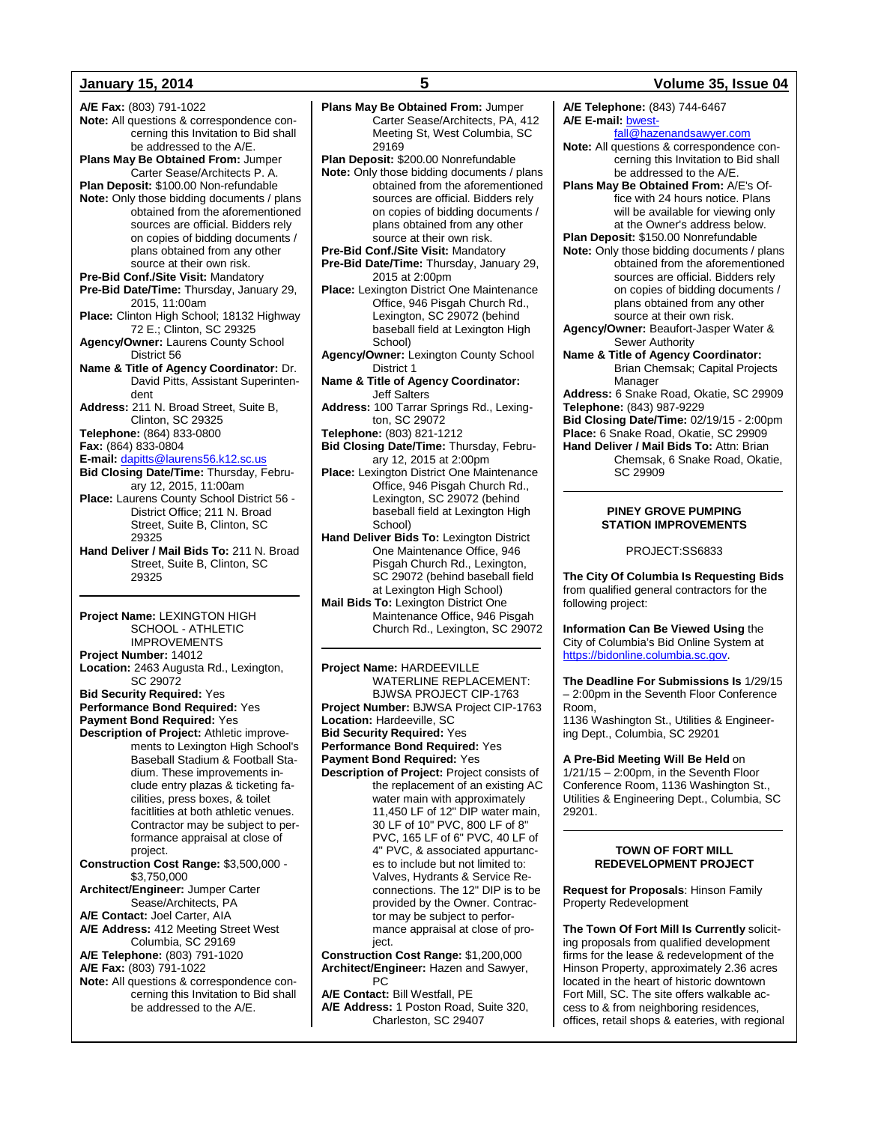**A/E Fax:** (803) 791-1022 **Note:** All questions & correspondence concerning this Invitation to Bid shall be addressed to the A/E. **Plans May Be Obtained From:** Jumper Carter Sease/Architects P. A. **Plan Deposit:** \$100.00 Non-refundable **Note:** Only those bidding documents / plans obtained from the aforementioned sources are official. Bidders rely on copies of bidding documents / plans obtained from any other source at their own risk. **Pre-Bid Conf./Site Visit:** Mandatory **Pre-Bid Date/Time:** Thursday, January 29, 2015, 11:00am **Place:** Clinton High School; 18132 Highway 72 E.; Clinton, SC 29325 **Agency/Owner:** Laurens County School District 56 **Name & Title of Agency Coordinator:** Dr. David Pitts, Assistant Superintendent **Address:** 211 N. Broad Street, Suite B, Clinton, SC 29325 **Telephone:** (864) 833-0800 **Fax:** (864) 833-0804 **E-mail:** [dapitts@laurens56.k12.sc.us](mailto:dapitts@laurens56.k12.sc.us) **Bid Closing Date/Time:** Thursday, February 12, 2015, 11:00am **Place:** Laurens County School District 56 - District Office; 211 N. Broad Street, Suite B, Clinton, SC 29325 **Hand Deliver / Mail Bids To:** 211 N. Broad Street, Suite B, Clinton, SC 29325

**Project Name:** LEXINGTON HIGH SCHOOL - ATHLETIC IMPROVEMENTS **Project Number:** 14012 **Location:** 2463 Augusta Rd., Lexington, SC 29072 **Bid Security Required:** Yes **Performance Bond Required:** Yes **Payment Bond Required:** Yes **Description of Project:** Athletic improvements to Lexington High School's Baseball Stadium & Football Stadium. These improvements include entry plazas & ticketing facilities, press boxes, & toilet facitlities at both athletic venues. Contractor may be subject to performance appraisal at close of project. **Construction Cost Range:** \$3,500,000 - \$3,750,000 **Architect/Engineer:** Jumper Carter Sease/Architects, PA **A/E Contact:** Joel Carter, AIA **A/E Address:** 412 Meeting Street West Columbia, SC 29169 **A/E Telephone:** (803) 791-1020 **A/E Fax:** (803) 791-1022 **Note:** All questions & correspondence concerning this Invitation to Bid shall be addressed to the A/E.

**Plan Deposit:** \$200.00 Nonrefundable **Note:** Only those bidding documents / plans obtained from the aforementioned sources are official. Bidders rely on copies of bidding documents / plans obtained from any other source at their own risk. **Pre-Bid Conf./Site Visit:** Mandatory **Pre-Bid Date/Time:** Thursday, January 29, 2015 at 2:00pm **Place:** Lexington District One Maintenance Office, 946 Pisgah Church Rd., Lexington, SC 29072 (behind baseball field at Lexington High School) **Agency/Owner:** Lexington County School District 1 **Name & Title of Agency Coordinator:** Jeff Salters **Address:** 100 Tarrar Springs Rd., Lexington, SC 29072 **Telephone:** (803) 821-1212 **Bid Closing Date/Time:** Thursday, February 12, 2015 at 2:00pm **Place:** Lexington District One Maintenance Office, 946 Pisgah Church Rd., Lexington, SC 29072 (behind baseball field at Lexington High School) **Hand Deliver Bids To:** Lexington District One Maintenance Office, 946 Pisgah Church Rd., Lexington, SC 29072 (behind baseball field at Lexington High School)

**Mail Bids To:** Lexington District One Maintenance Office, 946 Pisgah Church Rd., Lexington, SC 29072

**Project Name:** HARDEEVILLE WATERLINE REPLACEMENT: BJWSA PROJECT CIP-1763 **Project Number:** BJWSA Project CIP-1763 **Location:** Hardeeville, SC **Bid Security Required:** Yes **Performance Bond Required:** Yes **Payment Bond Required:** Yes **Description of Project:** Project consists of the replacement of an existing AC water main with approximately 11,450 LF of 12" DIP water main, 30 LF of 10" PVC, 800 LF of 8" PVC, 165 LF of 6" PVC, 40 LF of 4" PVC, & associated appurtances to include but not limited to: Valves, Hydrants & Service Reconnections. The 12" DIP is to be provided by the Owner. Contractor may be subject to performance appraisal at close of project.

**Construction Cost Range:** \$1,200,000 **Architect/Engineer:** Hazen and Sawyer, PC

**A/E Contact:** Bill Westfall, PE **A/E Address:** 1 Poston Road, Suite 320, Charleston, SC 29407

### **January 15, 2014 5 Volume 35, Issue 04**

**A/E Telephone:** (843) 744-6467 **A/E E-mail:** [bwest](mailto:bwestfall@hazenandsawyer.com)[fall@hazenandsawyer.com](mailto:bwestfall@hazenandsawyer.com) **Note:** All questions & correspondence concerning this Invitation to Bid shall be addressed to the A/E. **Plans May Be Obtained From:** A/E's Office with 24 hours notice. Plans will be available for viewing only at the Owner's address below. **Plan Deposit:** \$150.00 Nonrefundable **Note:** Only those bidding documents / plans obtained from the aforementioned sources are official. Bidders rely on copies of bidding documents / plans obtained from any other source at their own risk. **Agency/Owner:** Beaufort-Jasper Water & Sewer Authority **Name & Title of Agency Coordinator:** Brian Chemsak; Capital Projects Manager **Address:** 6 Snake Road, Okatie, SC 29909 **Telephone:** (843) 987-9229 **Bid Closing Date/Time:** 02/19/15 - 2:00pm **Place:** 6 Snake Road, Okatie, SC 29909 **Hand Deliver / Mail Bids To:** Attn: Brian Chemsak, 6 Snake Road, Okatie, SC 29909

### **PINEY GROVE PUMPING STATION IMPROVEMENTS**

PROJECT:SS6833

**The City Of Columbia Is Requesting Bids**  from qualified general contractors for the following project:

**Information Can Be Viewed Using** the City of Columbia's Bid Online System at [https://bidonline.columbia.sc.gov.](https://bidonline.columbia.sc.gov/)

**The Deadline For Submissions Is** 1/29/15 – 2:00pm in the Seventh Floor Conference Room,

1136 Washington St., Utilities & Engineering Dept., Columbia, SC 29201

**A Pre-Bid Meeting Will Be Held** on 1/21/15 – 2:00pm, in the Seventh Floor Conference Room, 1136 Washington St., Utilities & Engineering Dept., Columbia, SC 29201.

### **TOWN OF FORT MILL REDEVELOPMENT PROJECT**

**Request for Proposals**: Hinson Family Property Redevelopment

**The Town Of Fort Mill Is Currently** soliciting proposals from qualified development firms for the lease & redevelopment of the Hinson Property, approximately 2.36 acres located in the heart of historic downtown Fort Mill, SC. The site offers walkable access to & from neighboring residences, offices, retail shops & eateries, with regional

# **Plans May Be Obtained From:** Jumper

29169

Carter Sease/Architects, PA, 412 Meeting St, West Columbia, SC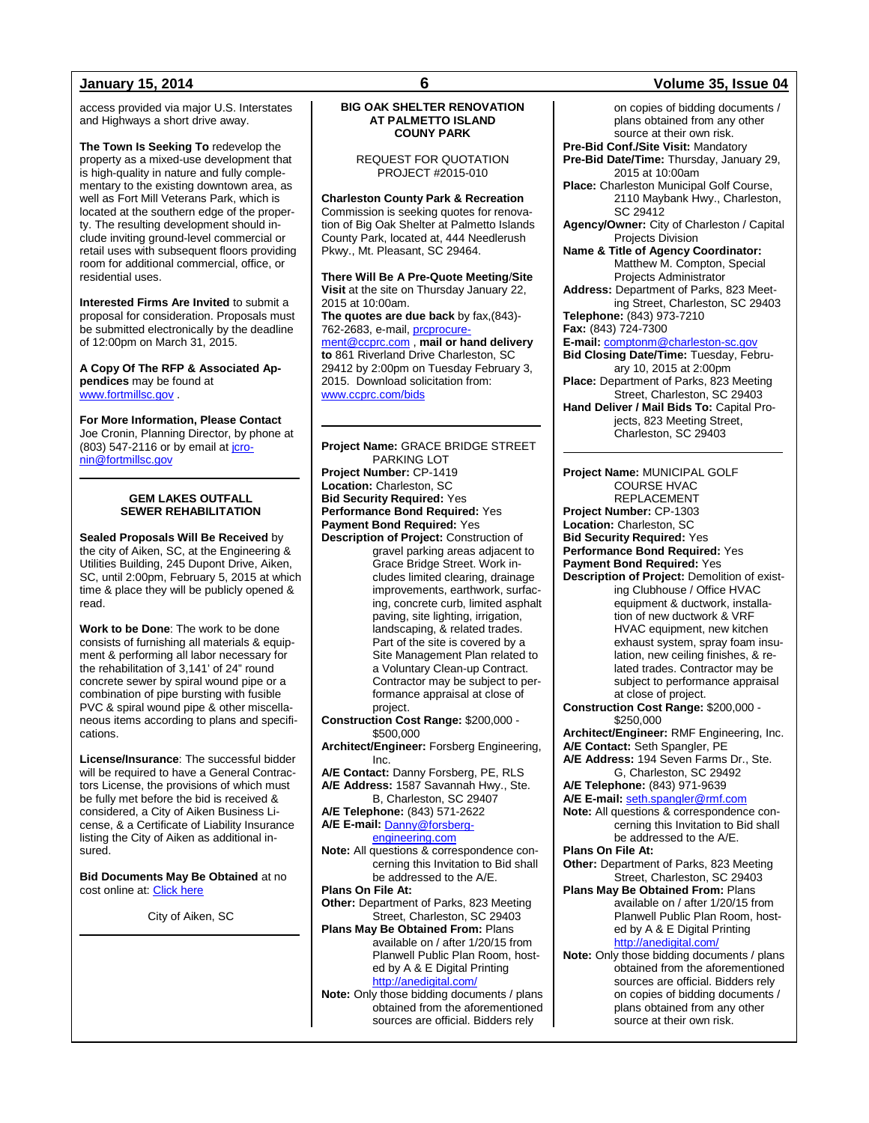access provided via major U.S. Interstates and Highways a short drive away.

**The Town Is Seeking To** redevelop the property as a mixed-use development that is high-quality in nature and fully complementary to the existing downtown area, as well as Fort Mill Veterans Park, which is located at the southern edge of the property. The resulting development should include inviting ground-level commercial or retail uses with subsequent floors providing room for additional commercial, office, or residential uses.

**Interested Firms Are Invited** to submit a proposal for consideration. Proposals must be submitted electronically by the deadline of 12:00pm on March 31, 2015.

**A Copy Of The RFP & Associated Appendices** may be found at [www.fortmillsc.gov](http://www.fortmillsc.gov/) .

**For More Information, Please Contact** Joe Cronin, Planning Director, by phone at (803) 547-2116 or by email a[t jcro](mailto:jcronin@fortmillsc.gov)[nin@fortmillsc.gov](mailto:jcronin@fortmillsc.gov)

### **GEM LAKES OUTFALL SEWER REHABILITATION**

**Sealed Proposals Will Be Received** by the city of Aiken, SC, at the Engineering & Utilities Building, 245 Dupont Drive, Aiken, SC, until 2:00pm, February 5, 2015 at which time & place they will be publicly opened & read.

**Work to be Done**: The work to be done consists of furnishing all materials & equipment & performing all labor necessary for the rehabilitation of 3,141' of 24" round concrete sewer by spiral wound pipe or a combination of pipe bursting with fusible PVC & spiral wound pipe & other miscellaneous items according to plans and specifications.

**License/Insurance**: The successful bidder will be required to have a General Contractors License, the provisions of which must be fully met before the bid is received & considered, a City of Aiken Business License, & a Certificate of Liability Insurance listing the City of Aiken as additional insured.

**Bid Documents May Be Obtained** at no cost online at[: Click here](https://www.cityofaikensc.gov/index.php/government/departments/engineering-utilities-department/engineering-utilities-topics/engineering-construction/)

City of Aiken, SC

### **BIG OAK SHELTER RENOVATION AT PALMETTO ISLAND COUNY PARK**

### REQUEST FOR QUOTATION PROJECT #2015-010

**Charleston County Park & Recreation** Commission is seeking quotes for renovation of Big Oak Shelter at Palmetto Islands County Park, located at, 444 Needlerush Pkwy., Mt. Pleasant, SC 29464.

**There Will Be A Pre-Quote Meeting**/**Site Visit** at the site on Thursday January 22, 2015 at 10:00am. **The quotes are due back** by fax,(843)- 762-2683, e-mail, prcprocure [ment@ccprc.com](mailto:prcprocurement@ccprc.com) , **mail or hand delivery** 

**to** 861 Riverland Drive Charleston, SC 29412 by 2:00pm on Tuesday February 3, 2015. Download solicitation from: [www.ccprc.com/bids](http://www.ccprc.com/bids)

**Project Name:** GRACE BRIDGE STREET PARKING LOT **Project Number:** CP-1419 **Location:** Charleston, SC **Bid Security Required:** Yes **Performance Bond Required:** Yes **Payment Bond Required:** Yes **Description of Project:** Construction of gravel parking areas adjacent to Grace Bridge Street. Work includes limited clearing, drainage improvements, earthwork, surfacing, concrete curb, limited asphalt paving, site lighting, irrigation, landscaping, & related trades. Part of the site is covered by a Site Management Plan related to a Voluntary Clean-up Contract. Contractor may be subject to performance appraisal at close of project. **Construction Cost Range:** \$200,000 - \$500,000 **Architect/Engineer:** Forsberg Engineering, Inc. **A/E Contact:** Danny Forsberg, PE, RLS **A/E Address:** 1587 Savannah Hwy., Ste. B, Charleston, SC 29407 **A/E Telephone:** (843) 571-2622 **A/E E-mail:** [Danny@forsberg](mailto:Danny@forsberg-engineering.com)[engineering.com](mailto:Danny@forsberg-engineering.com) **Note:** All questions & correspondence concerning this Invitation to Bid shall be addressed to the A/E. **Plans On File At: Other:** Department of Parks, 823 Meeting Street, Charleston, SC 29403 **Plans May Be Obtained From:** Plans available on / after 1/20/15 from Planwell Public Plan Room, hosted by A & E Digital Printing <http://anedigital.com/> **Note:** Only those bidding documents / plans obtained from the aforementioned

sources are official. Bidders rely

### **January 15, 2014 6 Volume 35, Issue 04**

on copies of bidding documents / plans obtained from any other source at their own risk.

- **Pre-Bid Conf./Site Visit:** Mandatory **Pre-Bid Date/Time:** Thursday, January 29, 2015 at 10:00am
- **Place:** Charleston Municipal Golf Course, 2110 Maybank Hwy., Charleston, SC 29412

**Agency/Owner:** City of Charleston / Capital Projects Division

**Name & Title of Agency Coordinator:** Matthew M. Compton, Special Projects Administrator

**Address:** Department of Parks, 823 Meeting Street, Charleston, SC 29403 **Telephone:** (843) 973-7210

**Fax:** (843) 724-7300

**E-mail:** [comptonm@charleston-sc.gov](mailto:comptonm@charleston-sc.gov)

**Bid Closing Date/Time:** Tuesday, February 10, 2015 at 2:00pm **Place:** Department of Parks, 823 Meeting

Street, Charleston, SC 29403 **Hand Deliver / Mail Bids To:** Capital Pro-

jects, 823 Meeting Street, Charleston, SC 29403

**Project Name:** MUNICIPAL GOLF COURSE HVAC REPLACEMENT **Project Number:** CP-1303 **Location:** Charleston, SC **Bid Security Required:** Yes **Performance Bond Required:** Yes **Payment Bond Required:** Yes **Description of Project:** Demolition of existing Clubhouse / Office HVAC equipment & ductwork, installation of new ductwork & VRF HVAC equipment, new kitchen exhaust system, spray foam insulation, new ceiling finishes, & related trades. Contractor may be subject to performance appraisal at close of project. **Construction Cost Range:** \$200,000 - \$250,000 **Architect/Engineer:** RMF Engineering, Inc. **A/E Contact:** Seth Spangler, PE **A/E Address:** 194 Seven Farms Dr., Ste. G, Charleston, SC 29492 **A/E Telephone:** (843) 971-9639 **A/E E-mail:** [seth.spangler@rmf.com](mailto:seth.spangler@rmf.com) **Note:** All questions & correspondence concerning this Invitation to Bid shall be addressed to the A/E. **Plans On File At: Other:** Department of Parks, 823 Meeting Street, Charleston, SC 29403 **Plans May Be Obtained From:** Plans available on / after 1/20/15 from Planwell Public Plan Room, hosted by A & E Digital Printing <http://anedigital.com/> **Note:** Only those bidding documents / plans obtained from the aforementioned sources are official. Bidders rely on copies of bidding documents / plans obtained from any other source at their own risk.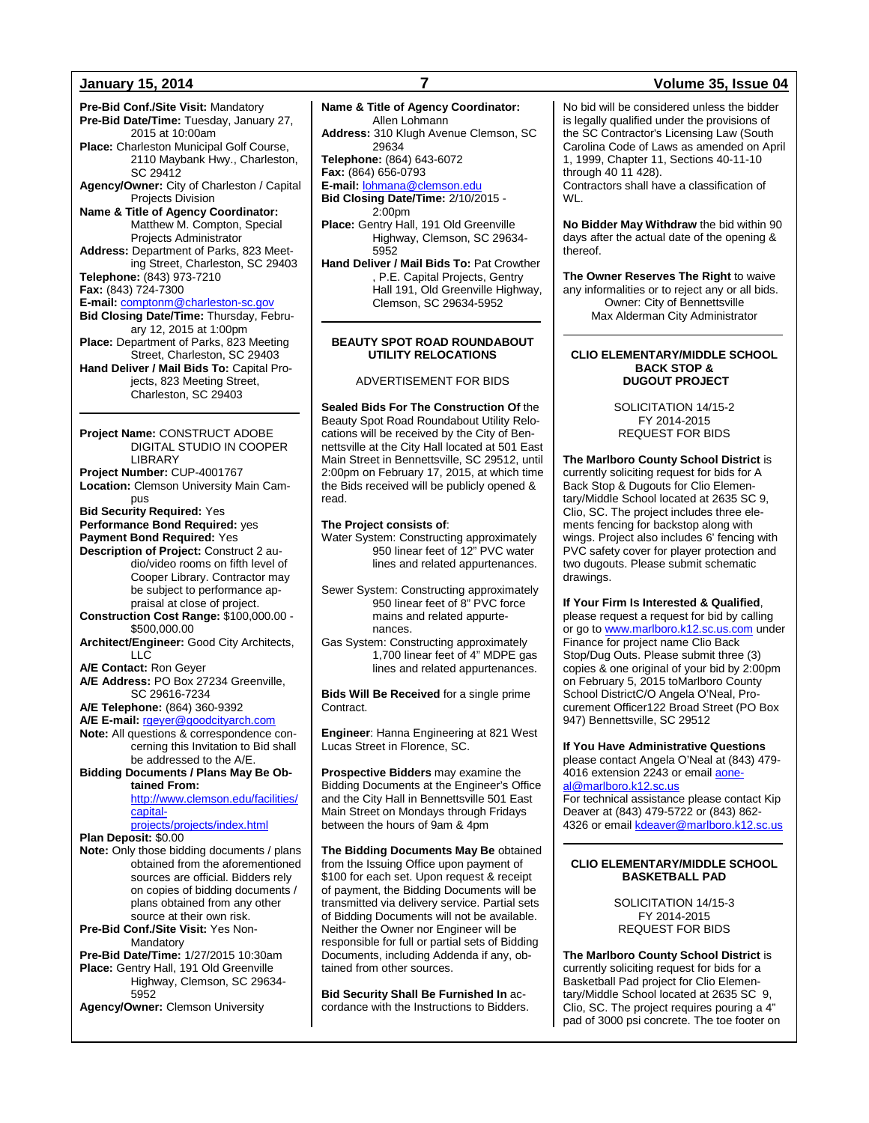**January 15, 2014 7 Volume 35, Issue 04 Pre-Bid Conf./Site Visit:** Mandatory **Pre-Bid Date/Time:** Tuesday, January 27, 2015 at 10:00am **Place:** Charleston Municipal Golf Course, 2110 Maybank Hwy., Charleston, SC 29412 **Agency/Owner:** City of Charleston / Capital Projects Division **Name & Title of Agency Coordinator:** Matthew M. Compton, Special Projects Administrator **Address:** Department of Parks, 823 Meeting Street, Charleston, SC 29403 **Telephone:** (843) 973-7210 **Fax:** (843) 724-7300 **E-mail:** [comptonm@charleston-sc.gov](mailto:comptonm@charleston-sc.gov) **Bid Closing Date/Time:** Thursday, February 12, 2015 at 1:00pm **Place:** Department of Parks, 823 Meeting Street, Charleston, SC 29403 **Hand Deliver / Mail Bids To:** Capital Projects, 823 Meeting Street, Charleston, SC 29403 **Project Name:** CONSTRUCT ADOBE DIGITAL STUDIO IN COOPER LIBRARY **Project Number:** CUP-4001767 **Location:** Clemson University Main Campus **Bid Security Required:** Yes **Performance Bond Required:** yes **Payment Bond Required:** Yes **Description of Project:** Construct 2 audio/video rooms on fifth level of Cooper Library. Contractor may be subject to performance appraisal at close of project. **Construction Cost Range:** \$100,000.00 - \$500,000.00 **Architect/Engineer:** Good City Architects, LLC **A/E Contact:** Ron Geyer **A/E Address:** PO Box 27234 Greenville, SC 29616-7234 **A/E Telephone:** (864) 360-9392 **A/E E-mail:** [rgeyer@goodcityarch.com](mailto:rgeyer@goodcityarch.com) **Note:** All questions & correspondence concerning this Invitation to Bid shall be addressed to the A/E. **Bidding Documents / Plans May Be Obtained From:** [http://www.clemson.edu/facilities/](http://www.clemson.edu/facilities/capital-projects/projects/index.html) [capital](http://www.clemson.edu/facilities/capital-projects/projects/index.html)[projects/projects/index.html](http://www.clemson.edu/facilities/capital-projects/projects/index.html) **Plan Deposit:** \$0.00 **Note:** Only those bidding documents / plans obtained from the aforementioned

sources are official. Bidders rely on copies of bidding documents / plans obtained from any other source at their own risk. **Pre-Bid Conf./Site Visit:** Yes Non-

Mandatory **Pre-Bid Date/Time:** 1/27/2015 10:30am **Place:** Gentry Hall, 191 Old Greenville Highway, Clemson, SC 29634- 5952

**Agency/Owner:** Clemson University

### **Name & Title of Agency Coordinator:** Allen Lohmann **Address:** 310 Klugh Avenue Clemson, SC 29634 **Telephone:** (864) 643-6072 **Fax:** (864) 656-0793 **E-mail:** [lohmana@clemson.edu](mailto:lohmana@clemson.edu) **Bid Closing Date/Time:** 2/10/2015 - 2:00pm **Place:** Gentry Hall, 191 Old Greenville Highway, Clemson, SC 29634-

5952 **Hand Deliver / Mail Bids To:** Pat Crowther , P.E. Capital Projects, Gentry Hall 191, Old Greenville Highway, Clemson, SC 29634-5952

### **BEAUTY SPOT ROAD ROUNDABOUT UTILITY RELOCATIONS**

ADVERTISEMENT FOR BIDS

**Sealed Bids For The Construction Of** the Beauty Spot Road Roundabout Utility Relocations will be received by the City of Bennettsville at the City Hall located at 501 East Main Street in Bennettsville, SC 29512, until 2:00pm on February 17, 2015, at which time the Bids received will be publicly opened & read.

### **The Project consists of**:

Water System: Constructing approximately 950 linear feet of 12" PVC water lines and related appurtenances.

Sewer System: Constructing approximately 950 linear feet of 8" PVC force mains and related appurtenances.

Gas System: Constructing approximately 1,700 linear feet of 4" MDPE gas lines and related appurtenances.

**Bids Will Be Received** for a single prime Contract.

**Engineer**: Hanna Engineering at 821 West Lucas Street in Florence, SC.

**Prospective Bidders** may examine the Bidding Documents at the Engineer's Office and the City Hall in Bennettsville 501 East Main Street on Mondays through Fridays between the hours of 9am & 4pm

**The Bidding Documents May Be** obtained from the Issuing Office upon payment of \$100 for each set. Upon request & receipt of payment, the Bidding Documents will be transmitted via delivery service. Partial sets of Bidding Documents will not be available. Neither the Owner nor Engineer will be responsible for full or partial sets of Bidding Documents, including Addenda if any, obtained from other sources.

**Bid Security Shall Be Furnished In** accordance with the Instructions to Bidders.

No bid will be considered unless the bidder is legally qualified under the provisions of the SC Contractor's Licensing Law (South Carolina Code of Laws as amended on April 1, 1999, Chapter 11, Sections 40-11-10 through 40 11 428). Contractors shall have a classification of WL.

**No Bidder May Withdraw** the bid within 90 days after the actual date of the opening & thereof.

**The Owner Reserves The Right** to waive any informalities or to reject any or all bids. Owner: City of Bennettsville Max Alderman City Administrator

### **CLIO ELEMENTARY/MIDDLE SCHOOL BACK STOP & DUGOUT PROJECT**

SOLICITATION 14/15-2 FY 2014-2015 REQUEST FOR BIDS

**The Marlboro County School District** is currently soliciting request for bids for A Back Stop & Dugouts for Clio Elementary/Middle School located at 2635 SC 9, Clio, SC. The project includes three elements fencing for backstop along with wings. Project also includes 6' fencing with PVC safety cover for player protection and two dugouts. Please submit schematic drawings.

**If Your Firm Is Interested & Qualified**, please request a request for bid by calling or go t[o www.marlboro.k12.sc.us.com](http://www.marlboro.k12.sc.us.com/) under Finance for project name Clio Back Stop/Dug Outs. Please submit three (3) copies & one original of your bid by 2:00pm on February 5, 2015 toMarlboro County School DistrictC/O Angela O'Neal, Procurement Officer122 Broad Street (PO Box 947) Bennettsville, SC 29512

**If You Have Administrative Questions** please contact Angela O'Neal at (843) 479-  $4016$  extension 2243 or email [aone](mailto:aoneal@marlboro.k12.sc.us)[al@marlboro.k12.sc.us](mailto:aoneal@marlboro.k12.sc.us)

For technical assistance please contact Kip Deaver at (843) 479-5722 or (843) 862- 4326 or emai[l kdeaver@marlboro.k12.sc.us](mailto:kdeaver@marlboro.k12.sc.us)

### **CLIO ELEMENTARY/MIDDLE SCHOOL BASKETBALL PAD**

SOLICITATION 14/15-3 FY 2014-2015 REQUEST FOR BIDS

**The Marlboro County School District** is currently soliciting request for bids for a Basketball Pad project for Clio Elementary/Middle School located at 2635 SC 9, Clio, SC. The project requires pouring a 4" pad of 3000 psi concrete. The toe footer on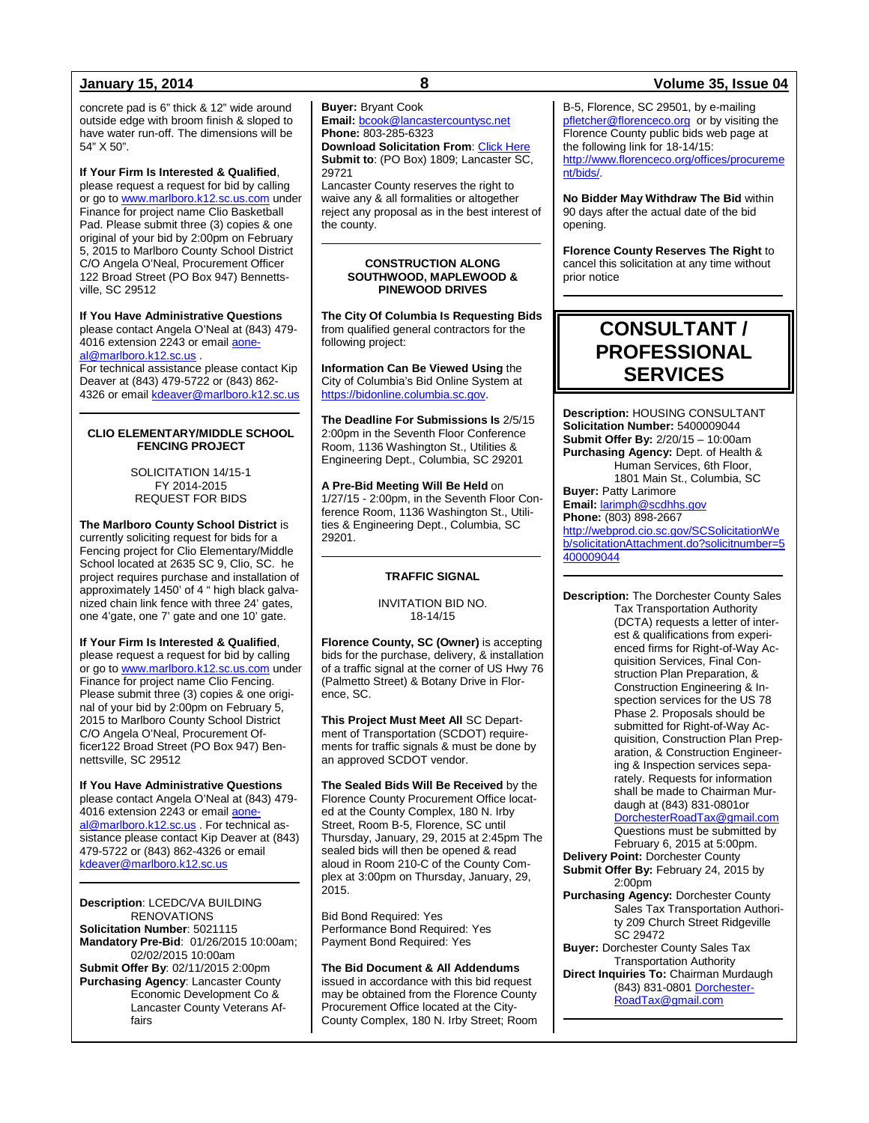concrete pad is 6" thick & 12" wide around outside edge with broom finish & sloped to have water run-off. The dimensions will be 54" X 50".

### **If Your Firm Is Interested & Qualified**,

please request a request for bid by calling or go t[o www.marlboro.k12.sc.us.com](http://www.marlboro.k12.sc.us.com/) under Finance for project name Clio Basketball Pad. Please submit three (3) copies & one original of your bid by 2:00pm on February 5, 2015 to Marlboro County School District C/O Angela O'Neal, Procurement Officer 122 Broad Street (PO Box 947) Bennettsville, SC 29512

### **If You Have Administrative Questions** please contact Angela O'Neal at (843) 479-

4016 extension 2243 or emai[l aone](mailto:aoneal@marlboro.k12.sc.us)[al@marlboro.k12.sc.us](mailto:aoneal@marlboro.k12.sc.us) .

For technical assistance please contact Kip Deaver at (843) 479-5722 or (843) 862 4326 or email [kdeaver@marlboro.k12.sc.us](mailto:kdeaver@marlboro.k12.sc.us)

### **CLIO ELEMENTARY/MIDDLE SCHOOL FENCING PROJECT**

SOLICITATION 14/15-1 FY 2014-2015 REQUEST FOR BIDS

**The Marlboro County School District** is currently soliciting request for bids for a Fencing project for Clio Elementary/Middle School located at 2635 SC 9, Clio, SC. he project requires purchase and installation of approximately 1450' of 4 " high black galvanized chain link fence with three 24' gates, one 4'gate, one 7' gate and one 10' gate.

**If Your Firm Is Interested & Qualified**, please request a request for bid by calling or go t[o www.marlboro.k12.sc.us.com](http://www.marlboro.k12.sc.us.com/) under Finance for project name Clio Fencing. Please submit three (3) copies & one original of your bid by 2:00pm on February 5, 2015 to Marlboro County School District C/O Angela O'Neal, Procurement Officer122 Broad Street (PO Box 947) Bennettsville, SC 29512

**If You Have Administrative Questions** please contact Angela O'Neal at (843) 479- 4016 extension 2243 or emai[l aone](mailto:aoneal@marlboro.k12.sc.us)[al@marlboro.k12.sc.us](mailto:aoneal@marlboro.k12.sc.us)</u> . For technical assistance please contact Kip Deaver at (843) 479-5722 or (843) 862-4326 or email [kdeaver@marlboro.k12.sc.us](mailto:kdeaver@marlboro.k12.sc.us)

**Description**: LCEDC/VA BUILDING RENOVATIONS **Solicitation Number**: 5021115 **Mandatory Pre-Bid**: 01/26/2015 10:00am; 02/02/2015 10:00am **Submit Offer By**: 02/11/2015 2:00pm **Purchasing Agency**: Lancaster County Economic Development Co & Lancaster County Veterans Affairs

### **Buyer:** Bryant Cook

**Email:** [bcook@lancastercountysc.net](mailto:bcook@lancastercountysc.net) **Phone:** 803-285-6323

**Download Solicitation From**[: Click Here](http://www.mylancastersc.org/index.asp?Type=B_BASIC&SEC=%7bB0876753-5857-4E46-80CB-1241DF93BAED) **Submit to**: (PO Box) 1809; Lancaster SC, 29721

Lancaster County reserves the right to waive any & all formalities or altogether reject any proposal as in the best interest of the county.

### **CONSTRUCTION ALONG SOUTHWOOD, MAPLEWOOD & PINEWOOD DRIVES**

**The City Of Columbia Is Requesting Bids**  from qualified general contractors for the following project:

**Information Can Be Viewed Using** the City of Columbia's Bid Online System at [https://bidonline.columbia.sc.gov.](https://bidonline.columbia.sc.gov/)

**The Deadline For Submissions Is** 2/5/15 2:00pm in the Seventh Floor Conference Room, 1136 Washington St., Utilities & Engineering Dept., Columbia, SC 29201

**A Pre-Bid Meeting Will Be Held** on 1/27/15 - 2:00pm, in the Seventh Floor Conference Room, 1136 Washington St., Utilities & Engineering Dept., Columbia, SC 29201.

### **TRAFFIC SIGNAL**

INVITATION BID NO. 18-14/15

**Florence County, SC (Owner)** is accepting bids for the purchase, delivery, & installation of a traffic signal at the corner of US Hwy 76 (Palmetto Street) & Botany Drive in Florence, SC.

**This Project Must Meet All** SC Department of Transportation (SCDOT) requirements for traffic signals & must be done by an approved SCDOT vendor.

**The Sealed Bids Will Be Received** by the Florence County Procurement Office located at the County Complex, 180 N. Irby Street, Room B-5, Florence, SC until Thursday, January, 29, 2015 at 2:45pm The sealed bids will then be opened & read aloud in Room 210-C of the County Complex at 3:00pm on Thursday, January, 29, 2015.

Bid Bond Required: Yes Performance Bond Required: Yes Payment Bond Required: Yes

**The Bid Document & All Addendums** issued in accordance with this bid request may be obtained from the Florence County Procurement Office located at the City-County Complex, 180 N. Irby Street; Room

### **January 15, 2014 8 Volume 35, Issue 04**

B-5, Florence, SC 29501, by e-mailing [pfletcher@florenceco.org](mailto:pfletcher@florenceco.org) or by visiting the Florence County public bids web page at the following link for 18-14/15: [http://www.florenceco.org/offices/procureme](http://www.florenceco.org/offices/procurement/bids/) [nt/bids/.](http://www.florenceco.org/offices/procurement/bids/)

**No Bidder May Withdraw The Bid** within 90 days after the actual date of the bid opening.

**Florence County Reserves The Right** to cancel this solicitation at any time without prior notice

## **CONSULTANT / PROFESSIONAL SERVICES**

**Description:** HOUSING CONSULTANT **Solicitation Number:** 5400009044 **Submit Offer By:** 2/20/15 – 10:00am **Purchasing Agency:** Dept. of Health & Human Services, 6th Floor, 1801 Main St., Columbia, SC **Buyer:** Patty Larimore **Email:** [larimph@scdhhs.gov](mailto:larimph@scdhhs.gov)

**Phone:** (803) 898-2667 [http://webprod.cio.sc.gov/SCSolicitationWe](http://webprod.cio.sc.gov/SCSolicitationWeb/solicitationAttachment.do?solicitnumber=5400009044) [b/solicitationAttachment.do?solicitnumber=5](http://webprod.cio.sc.gov/SCSolicitationWeb/solicitationAttachment.do?solicitnumber=5400009044) [400009044](http://webprod.cio.sc.gov/SCSolicitationWeb/solicitationAttachment.do?solicitnumber=5400009044)

**Description:** The Dorchester County Sales Tax Transportation Authority (DCTA) requests a letter of interest & qualifications from experienced firms for Right-of-Way Acquisition Services, Final Construction Plan Preparation, & Construction Engineering & Inspection services for the US 78 Phase 2. Proposals should be submitted for Right-of-Way Acquisition, Construction Plan Preparation, & Construction Engineering & Inspection services separately. Requests for information shall be made to Chairman Murdaugh at (843) 831-0801or [DorchesterRoadTax@gmail.com](mailto:DorchesterRoadTax@gmail.com) Questions must be submitted by February 6, 2015 at 5:00pm.

**Delivery Point:** Dorchester County **Submit Offer By:** February 24, 2015 by 2:00pm

**Purchasing Agency:** Dorchester County Sales Tax Transportation Authority 209 Church Street Ridgeville SC 29472 **Buyer:** Dorchester County Sales Tax

Transportation Authority **Direct Inquiries To:** Chairman Murdaugh (843) 831-0801 [Dorchester-](mailto:DorchesterRoadTax@gmail.com)[RoadTax@gmail.com](mailto:DorchesterRoadTax@gmail.com)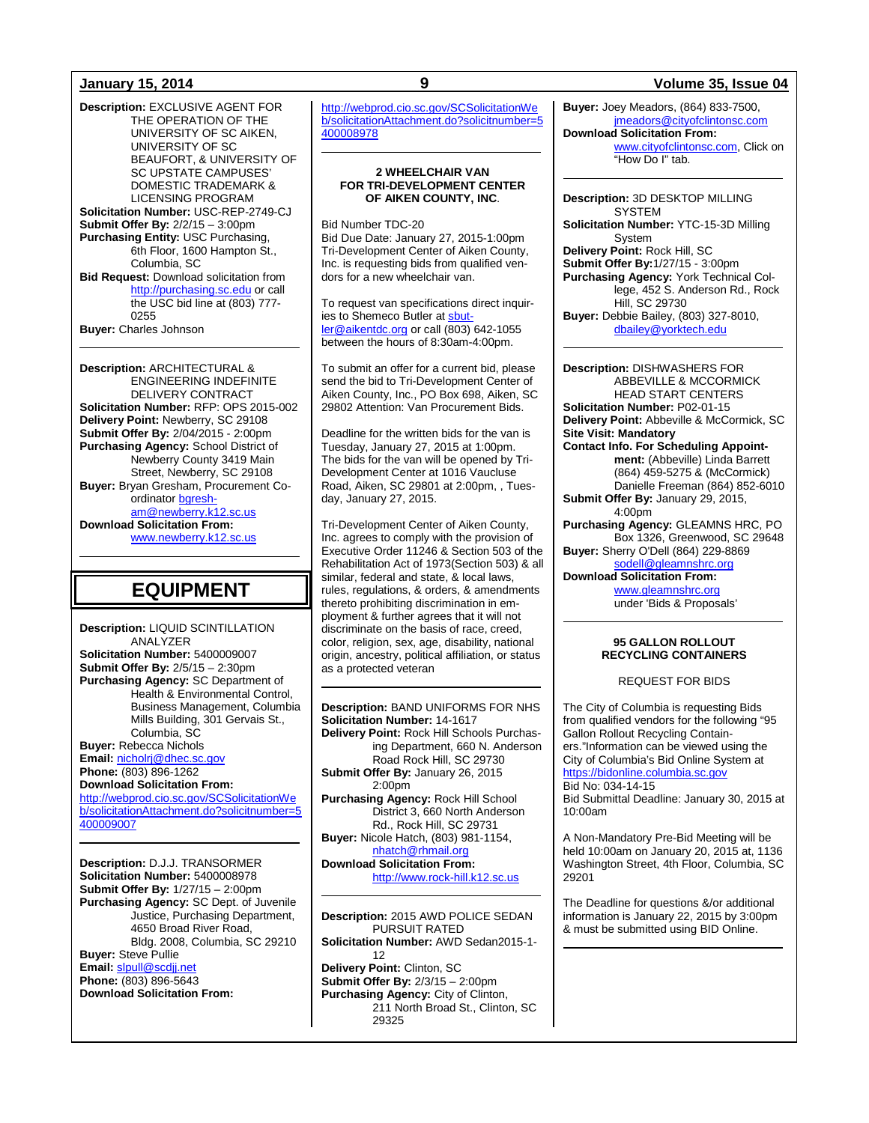**Description:** EXCLUSIVE AGENT FOR THE OPERATION OF THE UNIVERSITY OF SC AIKEN, UNIVERSITY OF SC BEAUFORT, & UNIVERSITY OF SC UPSTATE CAMPUSES' DOMESTIC TRADEMARK & LICENSING PROGRAM **Solicitation Number:** USC-REP-2749-CJ **Submit Offer By:** 2/2/15 – 3:00pm **Purchasing Entity:** USC Purchasing, 6th Floor, 1600 Hampton St., Columbia, SC **Bid Request:** Download solicitation from [http://purchasing.sc.edu](http://purchasing.sc.edu/) or call the USC bid line at (803) 777- 0255 **Buyer:** Charles Johnson

**Description:** ARCHITECTURAL & ENGINEERING INDEFINITE DELIVERY CONTRACT **Solicitation Number:** RFP: OPS 2015-002 **Delivery Point:** Newberry, SC 29108 **Submit Offer By:** 2/04/2015 - 2:00pm **Purchasing Agency:** School District of Newberry County 3419 Main Street, Newberry, SC 29108 **Buyer:** Bryan Gresham, Procurement Coordinator [bgresh](mailto:bgresham@newberry.k12.sc.us)[am@newberry.k12.sc.us](mailto:bgresham@newberry.k12.sc.us) **Download Solicitation From:** [www.newberry.k12.sc.us](http://www.newberry.k12.sc.us/) 

## **EQUIPMENT**

**Description:** LIQUID SCINTILLATION ANALYZER **Solicitation Number:** 5400009007 **Submit Offer By:** 2/5/15 – 2:30pm **Purchasing Agency:** SC Department of Health & Environmental Control, Business Management, Columbia Mills Building, 301 Gervais St., Columbia, SC **Buyer:** Rebecca Nichols **Email:** [nicholrj@dhec.sc.gov](mailto:nicholrj@dhec.sc.gov) **Phone:** (803) 896-1262 **Download Solicitation From:** [http://webprod.cio.sc.gov/SCSolicitationWe](http://webprod.cio.sc.gov/SCSolicitationWeb/solicitationAttachment.do?solicitnumber=5400009007) [b/solicitationAttachment.do?solicitnumber=5](http://webprod.cio.sc.gov/SCSolicitationWeb/solicitationAttachment.do?solicitnumber=5400009007) [400009007](http://webprod.cio.sc.gov/SCSolicitationWeb/solicitationAttachment.do?solicitnumber=5400009007)

**Description:** D.J.J. TRANSORMER **Solicitation Number:** 5400008978 **Submit Offer By:** 1/27/15 – 2:00pm **Purchasing Agency:** SC Dept. of Juvenile Justice, Purchasing Department, 4650 Broad River Road, Bldg. 2008, Columbia, SC 29210 **Buyer:** Steve Pullie **Email:** [slpull@scdjj.net](mailto:slpull@scdjj.net) **Phone:** (803) 896-5643 **Download Solicitation From:**

[http://webprod.cio.sc.gov/SCSolicitationWe](http://webprod.cio.sc.gov/SCSolicitationWeb/solicitationAttachment.do?solicitnumber=5400008978) [b/solicitationAttachment.do?solicitnumber=5](http://webprod.cio.sc.gov/SCSolicitationWeb/solicitationAttachment.do?solicitnumber=5400008978) [400008978](http://webprod.cio.sc.gov/SCSolicitationWeb/solicitationAttachment.do?solicitnumber=5400008978)

### **2 WHEELCHAIR VAN FOR TRI-DEVELOPMENT CENTER OF AIKEN COUNTY, INC**.

Bid Number TDC-20 Bid Due Date: January 27, 2015-1:00pm Tri-Development Center of Aiken County, Inc. is requesting bids from qualified vendors for a new wheelchair van.

To request van specifications direct inquiries to Shemeco Butler at [sbut](mailto:sbutler@aikentdc.org)[ler@aikentdc.org](mailto:sbutler@aikentdc.org) or call (803) 642-1055 between the hours of 8:30am-4:00pm.

To submit an offer for a current bid, please send the bid to Tri-Development Center of Aiken County, Inc., PO Box 698, Aiken, SC 29802 Attention: Van Procurement Bids.

Deadline for the written bids for the van is Tuesday, January 27, 2015 at 1:00pm. The bids for the van will be opened by Tri-Development Center at 1016 Vaucluse Road, Aiken, SC 29801 at 2:00pm, , Tuesday, January 27, 2015.

Tri-Development Center of Aiken County, Inc. agrees to comply with the provision of Executive Order 11246 & Section 503 of the Rehabilitation Act of 1973(Section 503) & all similar, federal and state, & local laws, rules, regulations, & orders, & amendments thereto prohibiting discrimination in employment & further agrees that it will not discriminate on the basis of race, creed, color, religion, sex, age, disability, national origin, ancestry, political affiliation, or status as a protected veteran

**Description:** BAND UNIFORMS FOR NHS **Solicitation Number:** 14-1617 **Delivery Point:** Rock Hill Schools Purchasing Department, 660 N. Anderson Road Rock Hill, SC 29730 **Submit Offer By:** January 26, 2015 2:00pm **Purchasing Agency:** Rock Hill School District 3, 660 North Anderson Rd., Rock Hill, SC 29731 **Buyer:** Nicole Hatch, (803) 981-1154, [nhatch@rhmail.org](mailto:nhatch@rhmail.org) **Download Solicitation From:**

[http://www.rock-hill.k12.sc.us](http://www.rock-hill.k12.sc.us/)

**Description:** 2015 AWD POLICE SEDAN PURSUIT RATED **Solicitation Number:** AWD Sedan2015-1- 12

**Delivery Point:** Clinton, SC **Submit Offer By:** 2/3/15 – 2:00pm **Purchasing Agency:** City of Clinton, 211 North Broad St., Clinton, SC 29325

### **January 15, 2014 9 Volume 35, Issue 04**

**Buyer:** Joey Meadors, (864) 833-7500, [jmeadors@cityofclintonsc.com](mailto:jmeadors@cityofclintonsc.com) **Download Solicitation From:** [www.cityofclintonsc.com,](http://www.cityofclintonsc.com/) Click on "How Do I" tab.

**Description:** 3D DESKTOP MILLING **SYSTEM Solicitation Number:** YTC-15-3D Milling System **Delivery Point:** Rock Hill, SC **Submit Offer By:**1/27/15 - 3:00pm **Purchasing Agency:** York Technical College, 452 S. Anderson Rd., Rock Hill, SC 29730 **Buyer:** Debbie Bailey, (803) 327-8010, [dbailey@yorktech.edu](mailto:dbailey@yorktech.edu)

**Description:** DISHWASHERS FOR ABBEVILLE & MCCORMICK HEAD START CENTERS **Solicitation Number:** P02-01-15 **Delivery Point:** Abbeville & McCormick, SC **Site Visit: Mandatory Contact Info. For Scheduling Appointment:** (Abbeville) Linda Barrett (864) 459-5275 & (McCormick) Danielle Freeman (864) 852-6010 **Submit Offer By:** January 29, 2015, 4:00pm **Purchasing Agency:** GLEAMNS HRC, PO Box 1326, Greenwood, SC 29648 **Buyer:** Sherry O'Dell (864) 229-886[9](mailto:%0Bsodell@gleamnshrc.org)

[sodell@gleamnshrc.org](mailto:%0Bsodell@gleamnshrc.org) **Download Solicitation From:**

[www.gleamnshrc.org](http://www.gleamnshrc.org/) under 'Bids & Proposals'

### **95 GALLON ROLLOUT RECYCLING CONTAINERS**

### REQUEST FOR BIDS

The City of Columbia is requesting Bids from qualified vendors for the following "95 Gallon Rollout Recycling Containers."Information can be viewed using the City of Columbia's Bid Online System at [https://bidonline.columbia.sc.gov](https://bidonline.columbia.sc.gov/) Bid No: 034-14-15 Bid Submittal Deadline: January 30, 2015 at 10:00am

A Non-Mandatory Pre-Bid Meeting will be held 10:00am on January 20, 2015 at, 1136 Washington Street, 4th Floor, Columbia, SC 29201

The Deadline for questions &/or additional information is January 22, 2015 by 3:00pm & must be submitted using BID Online.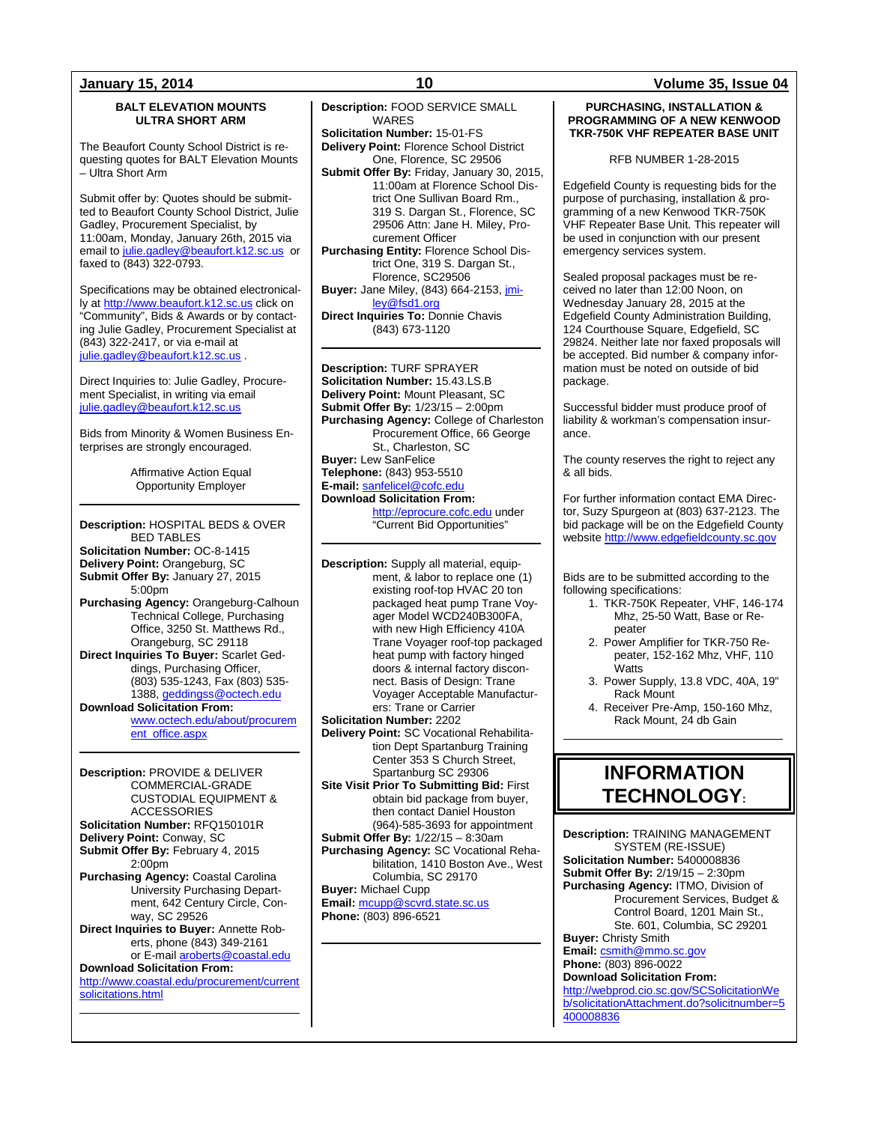### **BALT ELEVATION MOUNTS ULTRA SHORT ARM**

The Beaufort County School District is requesting quotes for BALT Elevation Mounts – Ultra Short Arm

Submit offer by: Quotes should be submitted to Beaufort County School District, Julie Gadley, Procurement Specialist, by 11:00am, Monday, January 26th, 2015 via email t[o julie.gadley@beaufort.k12.sc.us](mailto:julie.gadley@beaufort.k12.sc.us) or faxed to (843) 322-0793.

Specifications may be obtained electronically at [http://www.beaufort.k12.sc.us](http://www.beaufort.k12.sc.us/) click on "Community", Bids & Awards or by contacting Julie Gadley, Procurement Specialist at (843) 322-2417, or via e-mail at iulie.gadley@beaufort.k12.sc.us

Direct Inquiries to: Julie Gadley, Procurement Specialist, in writing via email [julie.gadley@beaufort.k12.sc.us](mailto:julie.gadley@beaufort.k12.sc.us)

Bids from Minority & Women Business Enterprises are strongly encouraged.

> Affirmative Action Equal Opportunity Employer

**Description:** HOSPITAL BEDS & OVER BED TABLES **Solicitation Number:** OC-8-1415 **Delivery Point:** Orangeburg, SC **Submit Offer By:** January 27, 2015 5:00pm **Purchasing Agency:** Orangeburg-Calhoun Technical College, Purchasing Office, 3250 St. Matthews Rd., Orangeburg, SC 29118 **Direct Inquiries To Buyer:** Scarlet Geddings, Purchasing Officer, (803) 535-1243, Fax (803) 535- 1388[, geddingss@octech.edu](mailto:geddingss@octech.edu) **Download Solicitation From:** [www.octech.edu/about/procurem](http://www.octech.edu/about/procurement_office.aspx) [ent\\_office.aspx](http://www.octech.edu/about/procurement_office.aspx)

**Description:** PROVIDE & DELIVER COMMERCIAL-GRADE CUSTODIAL EQUIPMENT & ACCESSORIES **Solicitation Number:** RFQ150101R **Delivery Point:** Conway, SC **Submit Offer By:** February 4, 2015 2:00pm **Purchasing Agency:** Coastal Carolina University Purchasing Department, 642 Century Circle, Conway, SC 29526 **Direct Inquiries to Buyer:** Annette Roberts, phone (843) 349-2161 or E-mai[l aroberts@coastal.edu](mailto:aroberts@coastal.edu) **Download Solicitation From:** [http://www.coastal.edu/procurement/current](http://www.coastal.edu/procurement/currentsolicitations.html)

[solicitations.html](http://www.coastal.edu/procurement/currentsolicitations.html)

**Description:** FOOD SERVICE SMALL WARES **Solicitation Number:** 15-01-FS **Delivery Point:** Florence School District One, Florence, SC 29506 **Submit Offer By:** Friday, January 30, 2015, 11:00am at Florence School District One Sullivan Board Rm., 319 S. Dargan St., Florence, SC 29506 Attn: Jane H. Miley, Procurement Officer **Purchasing Entity:** Florence School District One, 319 S. Dargan St., Florence, SC29506 **Buyer:** Jane Miley, (843) 664-2153, *imi*[ley@fsd1.org](mailto:jmiley@fsd1.org) **Direct Inquiries To: Donnie Chavis** 

(843) 673-1120

**Description:** TURF SPRAYER **Solicitation Number:** 15.43.LS.B **Delivery Point:** Mount Pleasant, SC **Submit Offer By:** 1/23/15 – 2:00pm **Purchasing Agency:** College of Charleston Procurement Office, 66 George St., Charleston, SC **Buyer:** Lew SanFelice **Telephone:** (843) 953-5510 **E-mail:** [sanfelicel@cofc.edu](mailto:SanfeliceL@cofc.edu) **Download Solicitation From:** [http://eprocure.cofc.edu](http://eprocure.cofc.edu/) under "Current Bid Opportunities"

**Description:** Supply all material, equipment, & labor to replace one (1) existing roof-top HVAC 20 ton packaged heat pump Trane Voyager Model WCD240B300FA, with new High Efficiency 410A Trane Voyager roof-top packaged heat pump with factory hinged doors & internal factory disconnect. Basis of Design: Trane Voyager Acceptable Manufacturers: Trane or Carrier **Solicitation Number:** 2202

**Delivery Point:** SC Vocational Rehabilitation Dept Spartanburg Training Center 353 S Church Street, Spartanburg SC 29306

**Site Visit Prior To Submitting Bid:** First obtain bid package from buyer, then contact Daniel Houston (964)-585-3693 for appointment

**Submit Offer By:** 1/22/15 – 8:30am **Purchasing Agency:** SC Vocational Rehabilitation, 1410 Boston Ave., West Columbia, SC 29170

**Buyer:** Michael Cupp **Email:** [mcupp@scvrd.state.sc.us](mailto:mcupp@scvrd.state.sc.us) **Phone:** (803) 896-6521

### **January 15, 2014 10 Volume 35, Issue 04**

### **PURCHASING, INSTALLATION & PROGRAMMING OF A NEW KENWOOD TKR-750K VHF REPEATER BASE UNIT**

RFB NUMBER 1-28-2015

Edgefield County is requesting bids for the purpose of purchasing, installation & programming of a new Kenwood TKR-750K VHF Repeater Base Unit. This repeater will be used in conjunction with our present emergency services system.

Sealed proposal packages must be received no later than 12:00 Noon, on Wednesday January 28, 2015 at the Edgefield County Administration Building, 124 Courthouse Square, Edgefield, SC 29824. Neither late nor faxed proposals will be accepted. Bid number & company information must be noted on outside of bid package.

Successful bidder must produce proof of liability & workman's compensation insurance.

The county reserves the right to reject any & all bids.

For further information contact EMA Director, Suzy Spurgeon at (803) 637-2123. The bid package will be on the Edgefield County website [http://www.edgefieldcounty.sc.gov](http://www.edgefieldcounty.sc.gov/)

Bids are to be submitted according to the following specifications:

- 1. TKR-750K Repeater, VHF, 146-174 Mhz, 25-50 Watt, Base or Repeater
- 2. Power Amplifier for TKR-750 Repeater, 152-162 Mhz, VHF, 110 Watts
- 3. Power Supply, 13.8 VDC, 40A, 19" Rack Mount
- 4. Receiver Pre-Amp, 150-160 Mhz, Rack Mount, 24 db Gain

## **INFORMATION TECHNOLOGY:**

**Description:** TRAINING MANAGEMENT SYSTEM (RE-ISSUE) **Solicitation Number:** 5400008836 **Submit Offer By:** 2/19/15 – 2:30pm **Purchasing Agency:** ITMO, Division of Procurement Services, Budget & Control Board, 1201 Main St., Ste. 601, Columbia, SC 29201 **Buyer:** Christy Smith **Email:** [csmith@mmo.sc.gov](mailto:csmith@mmo.sc.gov) **Phone:** (803) 896-0022 **Download Solicitation From:** [http://webprod.cio.sc.gov/SCSolicitationWe](http://webprod.cio.sc.gov/SCSolicitationWeb/solicitationAttachment.do?solicitnumber=5400008836) [b/solicitationAttachment.do?solicitnumber=5](http://webprod.cio.sc.gov/SCSolicitationWeb/solicitationAttachment.do?solicitnumber=5400008836) [400008836](http://webprod.cio.sc.gov/SCSolicitationWeb/solicitationAttachment.do?solicitnumber=5400008836)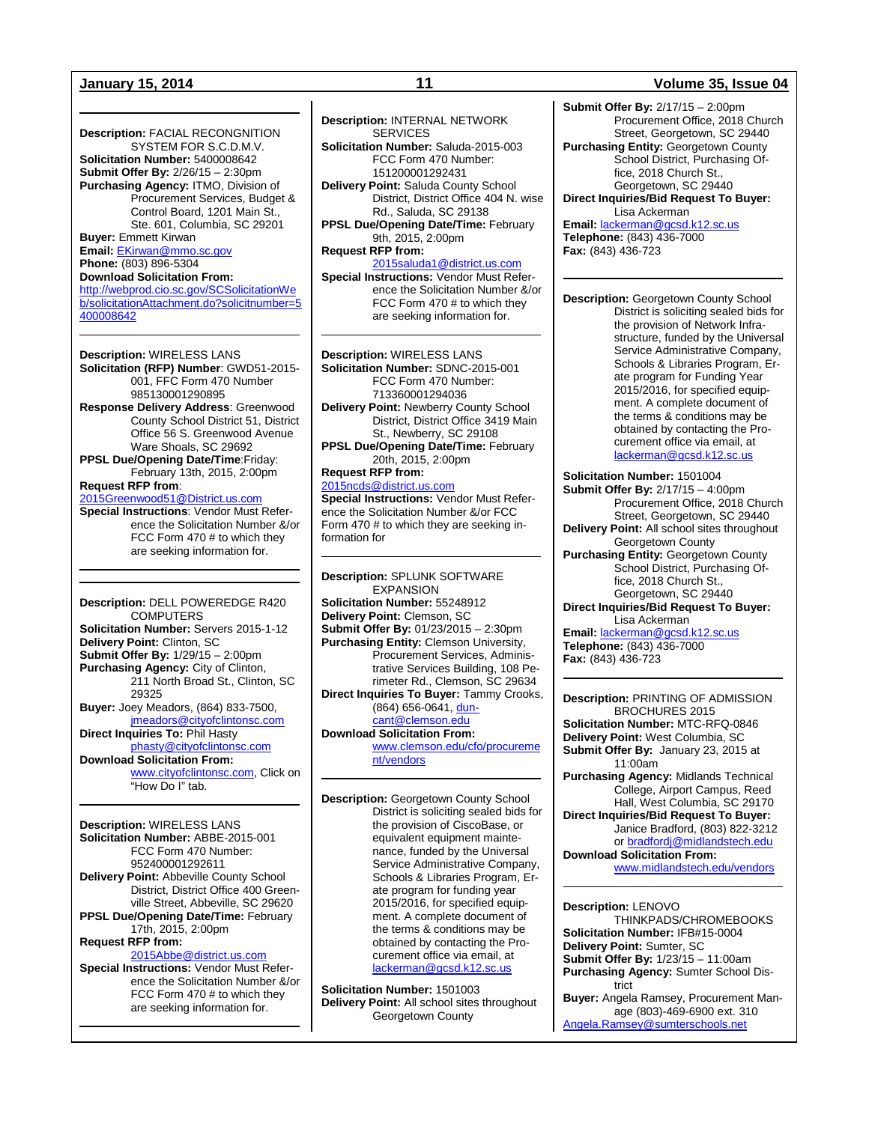### **January 15, 2014 11 Volume 35, Issue 04**

**Description:** FACIAL RECONGNITION SYSTEM FOR S.C.D.M.V. **Solicitation Number:** 5400008642 **Submit Offer By:** 2/26/15 – 2:30pm **Purchasing Agency:** ITMO, Division of Procurement Services, Budget & Control Board, 1201 Main St., Ste. 601, Columbia, SC 29201 **Buyer:** Emmett Kirwan **Email:** [EKirwan@mmo.sc.gov](mailto:EKirwan@mmo.sc.gov) **Phone:** (803) 896-5304

**Download Solicitation From:** [http://webprod.cio.sc.gov/SCSolicitationWe](http://webprod.cio.sc.gov/SCSolicitationWeb/solicitationAttachment.do?solicitnumber=5400008642)

[b/solicitationAttachment.do?solicitnumber=5](http://webprod.cio.sc.gov/SCSolicitationWeb/solicitationAttachment.do?solicitnumber=5400008642) [400008642](http://webprod.cio.sc.gov/SCSolicitationWeb/solicitationAttachment.do?solicitnumber=5400008642)

**Description:** WIRELESS LANS **Solicitation (RFP) Number**: GWD51-2015- 001, FFC Form 470 Number 985130001290895 **Response Delivery Address**: Greenwood County School District 51, District Office 56 S. Greenwood Avenue Ware Shoals, SC 29692 **PPSL Due/Opening Date/Time**:Friday: February 13th, 2015, 2:00pm **Request RFP from**: [2015Greenwood51@District.us.com](mailto:2015Greenwood51@District.us.com) **Special Instructions**: Vendor Must Refer-

ence the Solicitation Number &/or FCC Form 470 # to which they are seeking information for.

**Description:** DELL POWEREDGE R420 **COMPUTERS Solicitation Number:** Servers 2015-1-12 **Delivery Point:** Clinton, SC **Submit Offer By:** 1/29/15 – 2:00pm **Purchasing Agency:** City of Clinton, 211 North Broad St., Clinton, SC 29325 **Buyer:** Joey Meadors, (864) 833-7500, [jmeadors@cityofclintonsc.com](mailto:jmeadors@cityofclintonsc.com) **Direct Inquiries To:** Phil Hasty [phasty@cityofclintonsc.com](mailto:phasty@cityofclintonsc.com) **Download Solicitation From:** [www.cityofclintonsc.com,](http://www.cityofclintonsc.com/) Click on "How Do I" tab.

**Description:** WIRELESS LANS **Solicitation Number:** ABBE-2015-001 FCC Form 470 Number: 952400001292611 **Delivery Point:** Abbeville County School District, District Office 400 Greenville Street, Abbeville, SC 29620 **PPSL Due/Opening Date/Time:** February 17th, 2015, 2:00pm **Request RFP from:**  [2015Abbe@district.us.com](mailto:2015Abbe@district.us.com) **Special Instructions:** Vendor Must Reference the Solicitation Number &/or FCC Form 470 # to which they are seeking information for.

**Description:** INTERNAL NETWORK **SERVICES Solicitation Number:** Saluda-2015-003 FCC Form 470 Number: 151200001292431 **Delivery Point:** Saluda County School District, District Office 404 N. wise Rd., Saluda, SC 29138 **PPSL Due/Opening Date/Time:** February 9th, 2015, 2:00pm **Request RFP from:**  [2015saluda1@district.us.com](mailto:2015saluda1@district.us.com)

**Special Instructions:** Vendor Must Reference the Solicitation Number &/or FCC Form 470 # to which they are seeking information for.

**Description:** WIRELESS LANS **Solicitation Number:** SDNC-2015-001 FCC Form 470 Number: 713360001294036 **Delivery Point:** Newberry County School District, District Office 3419 Main St., Newberry, SC 29108 **PPSL Due/Opening Date/Time:** February 20th, 2015, 2:00pm **Request RFP from:** 

[2015ncds@district.us.com](mailto:2015ncds@district.us.com) **Special Instructions:** Vendor Must Reference the Solicitation Number &/or FCC Form 470 # to which they are seeking in-

formation for

**Description:** SPLUNK SOFTWARE EXPANSION **Solicitation Number:** 55248912 **Delivery Point:** Clemson, SC **Submit Offer By:** 01/23/2015 – 2:30pm **Purchasing Entity:** Clemson University, Procurement Services, Administrative Services Building, 108 Perimeter Rd., Clemson, SC 29634 **Direct Inquiries To Buyer:** Tammy Crooks, (864) 656-0641[, dun](mailto:duncant@clemson.edu)[cant@clemson.edu](mailto:duncant@clemson.edu) **Download Solicitation From:** [www.clemson.edu/cfo/procureme](http://www.clemson.edu/cfo/procurement/vendors)

[nt/vendors](http://www.clemson.edu/cfo/procurement/vendors)

**Description:** Georgetown County School District is soliciting sealed bids for the provision of CiscoBase, or equivalent equipment maintenance, funded by the Universal Service Administrative Company, Schools & Libraries Program, Erate program for funding year 2015/2016, for specified equipment. A complete document of the terms & conditions may be obtained by contacting the Procurement office via email, at [lackerman@gcsd.k12.sc.us](mailto:lackerman@gcsd.k12.sc.us)

**Solicitation Number:** 1501003 **Delivery Point:** All school sites throughout Georgetown County

**Submit Offer By:** 2/17/15 – 2:00pm Procurement Office, 2018 Church Street, Georgetown, SC 29440 **Purchasing Entity:** Georgetown County School District, Purchasing Office, 2018 Church St., Georgetown, SC 29440 **Direct Inquiries/Bid Request To Buyer:** Lisa Ackerman **Email:** [lackerman@gcsd.k12.sc.us](mailto:lackerman@gcsd.k12.sc.us)

**Telephone:** (843) 436-7000 **Fax:** (843) 436-723

**Description:** Georgetown County School District is soliciting sealed bids for the provision of Network Infrastructure, funded by the Universal Service Administrative Company, Schools & Libraries Program, Erate program for Funding Year 2015/2016, for specified equipment. A complete document of the terms & conditions may be obtained by contacting the Procurement office via email, at [lackerman@gcsd.k12.sc.us](mailto:lackerman@gcsd.k12.sc.us)

**Solicitation Number:** 1501004 **Submit Offer By:** 2/17/15 – 4:00pm Procurement Office, 2018 Church Street, Georgetown, SC 29440 **Delivery Point:** All school sites throughout Georgetown County **Purchasing Entity:** Georgetown County School District, Purchasing Office, 2018 Church St., Georgetown, SC 29440 **Direct Inquiries/Bid Request To Buyer:** Lisa Ackerman **Email:** [lackerman@gcsd.k12.sc.us](mailto:lackerman@gcsd.k12.sc.us) **Telephone:** (843) 436-7000

**Fax:** (843) 436-723

**Description:** PRINTING OF ADMISSION BROCHURES 2015 **Solicitation Number:** MTC-RFQ-0846 **Delivery Point:** West Columbia, SC **Submit Offer By:** January 23, 2015 at 11:00am **Purchasing Agency:** Midlands Technical College, Airport Campus, Reed Hall, West Columbia, SC 29170 **Direct Inquiries/Bid Request To Buyer:** Janice Bradford, (803) 822-3212 or [bradfordj@midlandstech.edu](mailto:bradfordj@midlandstech.edu) **Download Solicitation From:**  [www.midlandstech.edu/vendors](http://www.midlandstech.edu/vendors)

**Description:** LENOVO

THINKPADS/CHROMEBOOKS **Solicitation Number:** IFB#15-0004 **Delivery Point:** Sumter, SC **Submit Offer By:** 1/23/15 – 11:00am **Purchasing Agency:** Sumter School District **Buyer:** Angela Ramsey, Procurement Man-

age (803)-469-6900 ext. 310 [Angela.Ramsey@sumterschools.net](mailto:Angela.Ramsey@sumterschools.net)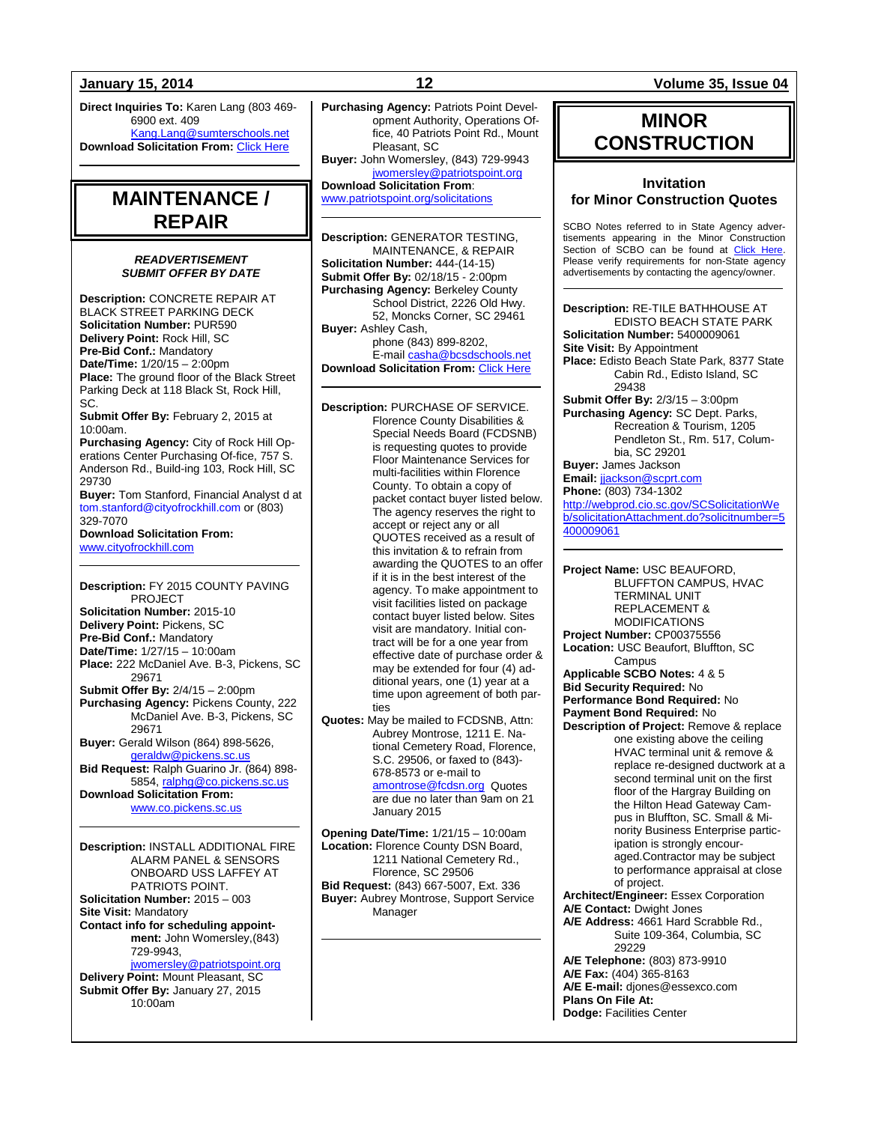**Direct Inquiries To:** Karen Lang (803 469- 6900 ext. 409 [Kang.Lang@sumterschools.net](mailto:Kang.Lang@sumterschools.net) **Download Solicitation From: [Click Here](http://www.sumterschools.net/site_res_view_folder.aspx?id=75fc1b46-d926-4707-8c87-0563a0c9e134)** 

## **MAINTENANCE / REPAIR**

### *READVERTISEMENT SUBMIT OFFER BY DATE*

**Description:** CONCRETE REPAIR AT BLACK STREET PARKING DECK **Solicitation Number:** PUR590 **Delivery Point:** Rock Hill, SC **Pre-Bid Conf.:** Mandatory **Date/Time:**  $1/20/15 - 2:00$ pm **Place:** The ground floor of the Black Street Parking Deck at 118 Black St, Rock Hill, SC. **Submit Offer By:** February 2, 2015 at

10:00am.

**Purchasing Agency:** City of Rock Hill Operations Center Purchasing Of-fice, 757 S. Anderson Rd., Build-ing 103, Rock Hill, SC 29730

**Buyer:** Tom Stanford, Financial Analyst d at tom.stanford@cityofrockhill.com or (803) 329-7070

**Download Solicitation From:**  [www.cityofrockhill.com](http://www.cityofrockhill.com/)

**Description:** FY 2015 COUNTY PAVING PROJECT **Solicitation Number:** 2015-10 **Delivery Point:** Pickens, SC **Pre-Bid Conf.:** Mandatory **Date/Time:** 1/27/15 – 10:00am **Place:** 222 McDaniel Ave. B-3, Pickens, SC 29671 **Submit Offer By:** 2/4/15 – 2:00pm **Purchasing Agency:** Pickens County, 222 McDaniel Ave. B-3, Pickens, SC 29671 **Buyer:** Gerald Wilson (864) 898-5626, [geraldw@pickens.sc.us](mailto:geraldw@pickens.sc.us) **Bid Request:** Ralph Guarino Jr. (864) 898- 5854[, ralphg@co.pickens.sc.us](mailto:ralphg@co.pickens.sc.us) **Download Solicitation From:** [www.co.pickens.sc.us](http://www.co.pickens.sc.us/)

**Description:** INSTALL ADDITIONAL FIRE ALARM PANEL & SENSORS ONBOARD USS LAFFEY AT PATRIOTS POINT. **Solicitation Number:** 2015 – 003 **Site Visit:** Mandatory **Contact info for scheduling appointment:** John Womersley,(843) 729-9943, [jwomersley@patriotspoint.org](mailto:jwomersley@patriotspoint.org)

**Delivery Point:** Mount Pleasant, SC **Submit Offer By:** January 27, 2015 10:00am

**Purchasing Agency:** Patriots Point Development Authority, Operations Office, 40 Patriots Point Rd., Mount

Pleasant, SC **Buyer:** John Womersley, (843) 729-9943 [jwomersley@patriotspoint.org](mailto:jwomersley@patriotspoint.org)

**Download Solicitation From**: [www.patriotspoint.org/solicitations](http://www.patriotspoint.org/solicitations)

**Description:** GENERATOR TESTING, MAINTENANCE, & REPAIR **Solicitation Number:** 444-(14-15) **Submit Offer By:** 02/18/15 - 2:00pm

**Purchasing Agency:** Berkeley County School District, 2226 Old Hwy. 52, Moncks Corner, SC 29461 **Buyer:** Ashley Cash, phone (843) 899-8202, E-mai[l casha@bcsdschools.net](mailto:casha@bcsdschools.net) **Download Solicitation From:** [Click Here](http://www.berkeley.k12.sc.us/departments.cfm?subpage=54016)

**Description:** PURCHASE OF SERVICE. Florence County Disabilities & Special Needs Board (FCDSNB) is requesting quotes to provide Floor Maintenance Services for multi-facilities within Florence County. To obtain a copy of packet contact buyer listed below. The agency reserves the right to accept or reject any or all QUOTES received as a result of this invitation & to refrain from awarding the QUOTES to an offer if it is in the best interest of the agency. To make appointment to visit facilities listed on package contact buyer listed below. Sites visit are mandatory. Initial contract will be for a one year from effective date of purchase order & may be extended for four (4) additional years, one (1) year at a time upon agreement of both parties

**Quotes:** May be mailed to FCDSNB, Attn: Aubrey Montrose, 1211 E. National Cemetery Road, Florence, S.C. 29506, or faxed to (843)- 678-8573 or e-mail to

[amontrose@fcdsn.org](mailto:amontrose@fcdsn.org) Quotes are due no later than 9am on 21 January 2015

**Opening Date/Time:** 1/21/15 – 10:00am **Location:** Florence County DSN Board, 1211 National Cemetery Rd., Florence, SC 29506 **Bid Request:** (843) 667-5007, Ext. 336 **Buyer:** Aubrey Montrose, Support Service Manager

### **January 15, 2014 12 Volume 35, Issue 04**

## **MINOR CONSTRUCTION**

### **Invitation for Minor Construction Quotes**

SCBO Notes referred to in State Agency advertisements appearing in the Minor Construction Section of SCBO can be found at [Click Here.](http://www.mmo.sc.gov/PS/general/scbo/SCBO_Notes_060512.pdf) Please verify requirements for non-State agency advertisements by contacting the agency/owner.

**Description:** RE-TILE BATHHOUSE AT EDISTO BEACH STATE PARK **Solicitation Number:** 5400009061 **Site Visit:** By Appointment **Place:** Edisto Beach State Park, 8377 State Cabin Rd., Edisto Island, SC 29438 **Submit Offer By:** 2/3/15 – 3:00pm **Purchasing Agency:** SC Dept. Parks, Recreation & Tourism, 1205 Pendleton St., Rm. 517, Columbia, SC 29201 **Buyer:** James Jackson **Email:** [jjackson@scprt.com](mailto:jjackson@scprt.com) **Phone:** (803) 734-1302 [http://webprod.cio.sc.gov/SCSolicitationWe](http://webprod.cio.sc.gov/SCSolicitationWeb/solicitationAttachment.do?solicitnumber=5400009061) [b/solicitationAttachment.do?solicitnumber=5](http://webprod.cio.sc.gov/SCSolicitationWeb/solicitationAttachment.do?solicitnumber=5400009061) [400009061](http://webprod.cio.sc.gov/SCSolicitationWeb/solicitationAttachment.do?solicitnumber=5400009061)

**Project Name:** USC BEAUFORD, BLUFFTON CAMPUS, HVAC TERMINAL UNIT REPLACEMENT & MODIFICATIONS **Project Number:** CP00375556 **Location:** USC Beaufort, Bluffton, SC **Campus Applicable SCBO Notes:** 4 & 5 **Bid Security Required:** No **Performance Bond Required:** No **Payment Bond Required:** No **Description of Project:** Remove & replace one existing above the ceiling HVAC terminal unit & remove & replace re-designed ductwork at a second terminal unit on the first floor of the Hargray Building on the Hilton Head Gateway Campus in Bluffton, SC. Small & Minority Business Enterprise participation is strongly encouraged.Contractor may be subject to performance appraisal at close of project. **Architect/Engineer:** Essex Corporation **A/E Contact:** Dwight Jones **A/E Address:** 4661 Hard Scrabble Rd., Suite 109-364, Columbia, SC 29229 **A/E Telephone:** (803) 873-9910 **A/E Fax:** (404) 365-8163 **A/E E-mail:** djones@essexco.com **Plans On File At: Dodge:** Facilities Center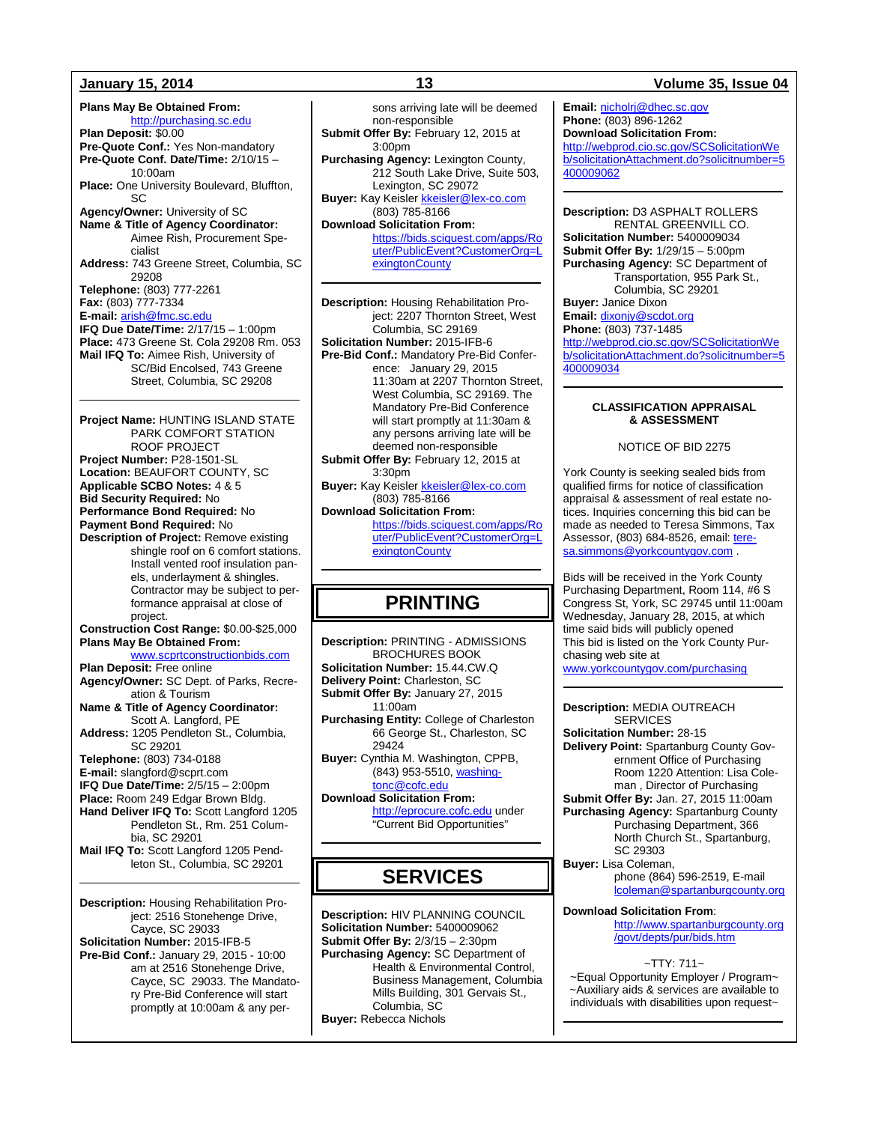**Plans May Be Obtained From:** [http://purchasing.sc.edu](http://purchasing.sc.edu/) **Plan Deposit:** \$0.00 **Pre-Quote Conf.:** Yes Non-mandatory **Pre-Quote Conf. Date/Time:** 2/10/15 – 10:00am **Place:** One University Boulevard, Bluffton, SC **Agency/Owner:** University of SC **Name & Title of Agency Coordinator:** Aimee Rish, Procurement Specialist **Address:** 743 Greene Street, Columbia, SC 29208 **Telephone:** (803) 777-2261 **Fax:** (803) 777-7334 **E-mail:** [arish@fmc.sc.edu](mailto:arish@fmc.sc.edu) **IFQ Due Date/Time:** 2/17/15 – 1:00pm **Place:** 473 Greene St. Cola 29208 Rm. 053 **Mail IFQ To:** Aimee Rish, University of SC/Bid Encolsed, 743 Greene Street, Columbia, SC 29208 **Project Name:** HUNTING ISLAND STATE PARK COMFORT STATION ROOF PROJECT **Project Number:** P28-1501-SL **Location:** BEAUFORT COUNTY, SC **Applicable SCBO Notes:** 4 & 5 **Bid Security Required:** No **Performance Bond Required:** No **Payment Bond Required:** No **Description of Project:** Remove existing shingle roof on 6 comfort stations. Install vented roof insulation panels, underlayment & shingles. Contractor may be subject to performance appraisal at close of project. **Construction Cost Range:** \$0.00-\$25,000 **Plans May Be Obtained From:** [www.scprtconstructionbids.com](http://www.scprtconstructionbids.com/) **Plan Deposit:** Free online **Agency/Owner:** SC Dept. of Parks, Recreation & Tourism **Name & Title of Agency Coordinator:** Scott A. Langford, PE **Address:** 1205 Pendleton St., Columbia, SC 29201 **Telephone:** (803) 734-0188 **E-mail:** slangford@scprt.com **IFQ Due Date/Time:** 2/5/15 – 2:00pm **Place:** Room 249 Edgar Brown Bldg. **Hand Deliver IFQ To:** Scott Langford 1205 Pendleton St., Rm. 251 Columbia, SC 29201 **Mail IFQ To:** Scott Langford 1205 Pendleton St., Columbia, SC 29201 **Description:** Housing Rehabilitation Pro-

ject: 2516 Stonehenge Drive, Cayce, SC 29033 **Solicitation Number:** 2015-IFB-5 **Pre-Bid Conf.:** January 29, 2015 - 10:00 am at 2516 Stonehenge Drive, Cayce, SC 29033. The Mandatory Pre-Bid Conference will start promptly at 10:00am & any per-

### sons arriving late will be deemed non-responsible **Submit Offer By:** February 12, 2015 at 3:00pm **Purchasing Agency:** Lexington County, 212 South Lake Drive, Suite 503, Lexington, SC 29072 **Buyer:** Kay Keisler **[kkeisler@lex-co.com](mailto:kkeisler@lex-co.com)** (803) 785-8166 **Download Solicitation From:** [https://bids.sciquest.com/apps/Ro](https://bids.sciquest.com/apps/Router/PublicEvent?CustomerOrg=LexingtonCounty) [uter/PublicEvent?CustomerOrg=L](https://bids.sciquest.com/apps/Router/PublicEvent?CustomerOrg=LexingtonCounty) [exingtonCounty](https://bids.sciquest.com/apps/Router/PublicEvent?CustomerOrg=LexingtonCounty)

**Description:** Housing Rehabilitation Project: 2207 Thornton Street, West Columbia, SC 29169 **Solicitation Number:** 2015-IFB-6 **Pre-Bid Conf.:** Mandatory Pre-Bid Conference: January 29, 2015 11:30am at 2207 Thornton Street, West Columbia, SC 29169. The Mandatory Pre-Bid Conference will start promptly at 11:30am & any persons arriving late will be deemed non-responsible **Submit Offer By:** February 12, 2015 at 3:30pm

**Buyer:** Kay Keisler **[kkeisler@lex-co.com](mailto:kkeisler@lex-co.com)** (803) 785-8166

**Download Solicitation From:** [https://bids.sciquest.com/apps/Ro](https://bids.sciquest.com/apps/Router/PublicEvent?CustomerOrg=LexingtonCounty) [uter/PublicEvent?CustomerOrg=L](https://bids.sciquest.com/apps/Router/PublicEvent?CustomerOrg=LexingtonCounty) [exingtonCounty](https://bids.sciquest.com/apps/Router/PublicEvent?CustomerOrg=LexingtonCounty)

## **PRINTING**

**Description:** PRINTING - ADMISSIONS BROCHURES BOOK **Solicitation Number:** 15.44.CW.Q **Delivery Point:** Charleston, SC **Submit Offer By:** January 27, 2015 11:00am **Purchasing Entity:** College of Charleston 66 George St., Charleston, SC 29424 **Buyer:** Cynthia M. Washington, CPPB, (843) 953-5510[, washing](mailto:washingtonc@cofc.edu)[tonc@cofc.edu](mailto:washingtonc@cofc.edu) **Download Solicitation From:**  [http://eprocure.cofc.edu](http://eprocure.cofc.edu/) under "Current Bid Opportunities"

## **SERVICES**

**Description:** HIV PLANNING COUNCIL **Solicitation Number:** 5400009062 **Submit Offer By:** 2/3/15 – 2:30pm **Purchasing Agency:** SC Department of Health & Environmental Control, Business Management, Columbia Mills Building, 301 Gervais St., Columbia, SC **Buyer:** Rebecca Nichols

### **January 15, 2014 13 Volume 35, Issue 04**

**Email:** [nicholrj@dhec.sc.gov](mailto:nicholrj@dhec.sc.gov) **Phone:** (803) 896-1262 **Download Solicitation From:** [http://webprod.cio.sc.gov/SCSolicitationWe](http://webprod.cio.sc.gov/SCSolicitationWeb/solicitationAttachment.do?solicitnumber=5400009062) [b/solicitationAttachment.do?solicitnumber=5](http://webprod.cio.sc.gov/SCSolicitationWeb/solicitationAttachment.do?solicitnumber=5400009062) [400009062](http://webprod.cio.sc.gov/SCSolicitationWeb/solicitationAttachment.do?solicitnumber=5400009062)

**Description:** D3 ASPHALT ROLLERS RENTAL GREENVILL CO. **Solicitation Number:** 5400009034 **Submit Offer By:** 1/29/15 – 5:00pm **Purchasing Agency:** SC Department of Transportation, 955 Park St., Columbia, SC 29201 **Buyer:** Janice Dixon

## **Email:** [dixonjy@scdot.org](mailto:dixonjy@scdot.org)

**Phone:** (803) 737-1485 [http://webprod.cio.sc.gov/SCSolicitationWe](http://webprod.cio.sc.gov/SCSolicitationWeb/solicitationAttachment.do?solicitnumber=5400009034) [b/solicitationAttachment.do?solicitnumber=5](http://webprod.cio.sc.gov/SCSolicitationWeb/solicitationAttachment.do?solicitnumber=5400009034) [400009034](http://webprod.cio.sc.gov/SCSolicitationWeb/solicitationAttachment.do?solicitnumber=5400009034)

### **CLASSIFICATION APPRAISAL & ASSESSMENT**

NOTICE OF BID 2275

York County is seeking sealed bids from qualified firms for notice of classification appraisal & assessment of real estate notices. Inquiries concerning this bid can be made as needed to Teresa Simmons, Tax Assessor, (803) 684-8526, email: [tere](mailto:teresa.simmons@yorkcountygov.com)[sa.simmons@yorkcountygov.com](mailto:teresa.simmons@yorkcountygov.com) .

Bids will be received in the York County Purchasing Department, Room 114, #6 S Congress St, York, SC 29745 until 11:00am Wednesday, January 28, 2015, at which time said bids will publicly opened This bid is listed on the York County Purchasing web site at

[www.yorkcountygov.com/purchasing](http://www.yorkcountygov.com/purchasing)

**Description:** MEDIA OUTREACH **SERVICES Solicitation Number:** 28-15 **Delivery Point:** Spartanburg County Government Office of Purchasing Room 1220 Attention: Lisa Coleman , Director of Purchasing **Submit Offer By:** Jan. 27, 2015 11:00am **Purchasing Agency:** Spartanburg County Purchasing Department, 366 North Church St., Spartanburg, SC 29303 **Buyer:** Lisa Coleman, phone (864) 596-2519, E-mail [lcoleman@spartanburgcounty.org](mailto:lcoleman@spartanburgcounty.org)

**Download Solicitation From**:

[http://www.spartanburgcounty.org](http://www.spartanburgcounty.org/govt/depts/pur/bids.htm) [/govt/depts/pur/bids.htm](http://www.spartanburgcounty.org/govt/depts/pur/bids.htm)

~TTY: 711~ ~Equal Opportunity Employer / Program~ ~Auxiliary aids & services are available to individuals with disabilities upon request~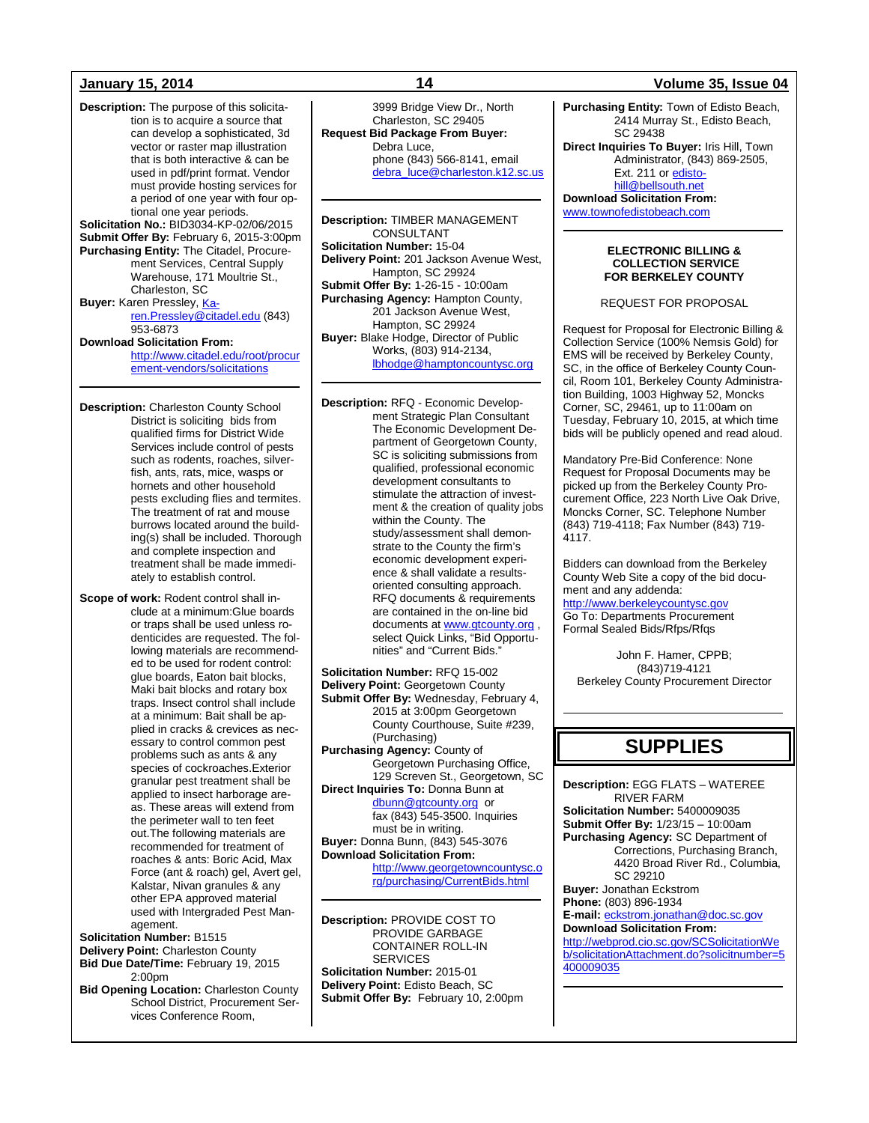**Description:** The purpose of this solicitation is to acquire a source that can develop a sophisticated, 3d vector or raster map illustration that is both interactive & can be used in pdf/print format. Vendor must provide hosting services for a period of one year with four optional one year periods. **Solicitation No.:** BID3034-KP-02/06/2015 **Submit Offer By:** February 6, 2015-3:00pm **Purchasing Entity:** The Citadel, Procurement Services, Central Supply Warehouse, 171 Moultrie St., Charleston, SC **Buyer: Karen Pressley[, Ka](mailto:Karen.Pressley@citadel.edu)**[ren.Pressley@citadel.edu](mailto:Karen.Pressley@citadel.edu) (843) 953-6873 **Download Solicitation From:**  [http://www.citadel.edu/root/procur](http://www.citadel.edu/root/procurement-vendors/solicitations)

[ement-vendors/solicitations](http://www.citadel.edu/root/procurement-vendors/solicitations) 

**Description:** Charleston County School District is soliciting bids from qualified firms for District Wide Services include control of pests such as rodents, roaches, silverfish, ants, rats, mice, wasps or hornets and other household pests excluding flies and termites. The treatment of rat and mouse burrows located around the building(s) shall be included. Thorough and complete inspection and treatment shall be made immediately to establish control.

**Scope of work:** Rodent control shall include at a minimum:Glue boards or traps shall be used unless rodenticides are requested. The following materials are recommended to be used for rodent control: glue boards, Eaton bait blocks, Maki bait blocks and rotary box traps. Insect control shall include at a minimum: Bait shall be applied in cracks & crevices as necessary to control common pest problems such as ants & any species of cockroaches.Exterior granular pest treatment shall be applied to insect harborage areas. These areas will extend from the perimeter wall to ten feet out.The following materials are recommended for treatment of roaches & ants: Boric Acid, Max Force (ant & roach) gel, Avert gel, Kalstar, Nivan granules & any other EPA approved material used with Intergraded Pest Management. **Solicitation Number:** B1515

**Delivery Point:** Charleston County **Bid Due Date/Time:** February 19, 2015 2:00pm

**Bid Opening Location:** Charleston County School District, Procurement Services Conference Room,

3999 Bridge View Dr., North Charleston, SC 29405 **Request Bid Package From Buyer:** Debra Luce, phone (843) 566-8141, email [debra\\_luce@charleston.k12.sc.us](mailto:debra_luce@charleston.k12.sc.us)

**Description:** TIMBER MANAGEMENT CONSULTANT **Solicitation Number:** 15-04 **Delivery Point:** 201 Jackson Avenue West, Hampton, SC 29924 **Submit Offer By:** 1-26-15 - 10:00am **Purchasing Agency:** Hampton County, 201 Jackson Avenue West, Hampton, SC 29924 **Buyer:** Blake Hodge, Director of Public Works, (803) 914-2134, [lbhodge@hamptoncountysc.org](mailto:lbhodge@hamptoncountysc.org)

**Description:** RFQ - Economic Development Strategic Plan Consultant The Economic Development Department of Georgetown County, SC is soliciting submissions from qualified, professional economic development consultants to stimulate the attraction of investment & the creation of quality jobs within the County. The study/assessment shall demonstrate to the County the firm's economic development experience & shall validate a resultsoriented consulting approach. RFQ documents & requirements are contained in the on-line bid documents a[t www.gtcounty.org](http://www.gtcounty.org/), select Quick Links, "Bid Opportunities" and "Current Bids."

**Solicitation Number:** RFQ 15-002 **Delivery Point:** Georgetown County **Submit Offer By:** Wednesday, February 4, 2015 at 3:00pm Georgetown County Courthouse, Suite #239, (Purchasing) **Purchasing Agency:** County of Georgetown Purchasing Office, 129 Screven St., Georgetown, SC **Direct Inquiries To:** Donna Bunn at [dbunn@gtcounty.org](mailto:dbunn@gtcounty.org) or fax (843) 545-3500. Inquiries must be in writing. **Buyer:** Donna Bunn, (843) 545-3076 **Download Solicitation From:** [http://www.georgetowncountysc.o](http://www.georgetowncountysc.org/purchasing/CurrentBids.html)

[rg/purchasing/CurrentBids.html](http://www.georgetowncountysc.org/purchasing/CurrentBids.html)

**Description:** PROVIDE COST TO PROVIDE GARBAGE CONTAINER ROLL-IN **SERVICES Solicitation Number:** 2015-01 **Delivery Point:** Edisto Beach, SC **Submit Offer By:** February 10, 2:00pm

### **January 15, 2014 14 Volume 35, Issue 04**

**Purchasing Entity:** Town of Edisto Beach, 2414 Murray St., Edisto Beach, SC 29438 **Direct Inquiries To Buyer:** Iris Hill, Town Administrator, (843) 869-2505, Ext. 211 or [edisto](mailto:edistohill@bellsouth.net)[hill@bellsouth.net](mailto:edistohill@bellsouth.net) **Download Solicitation From:** [www.townofedistobeach.com](http://www.townofedistobeach.com/)

> **ELECTRONIC BILLING & COLLECTION SERVICE FOR BERKELEY COUNTY**

REQUEST FOR PROPOSAL

Request for Proposal for Electronic Billing & Collection Service (100% Nemsis Gold) for EMS will be received by Berkeley County, SC, in the office of Berkeley County Council, Room 101, Berkeley County Administration Building, 1003 Highway 52, Moncks Corner, SC, 29461, up to 11:00am on Tuesday, February 10, 2015, at which time bids will be publicly opened and read aloud.

Mandatory Pre-Bid Conference: None Request for Proposal Documents may be picked up from the Berkeley County Procurement Office, 223 North Live Oak Drive, Moncks Corner, SC. Telephone Number (843) 719-4118; Fax Number (843) 719- 4117.

Bidders can download from the Berkeley County Web Site a copy of the bid document and any addenda:

[http://www.berkeleycountysc.gov](http://www.berkeleycountysc.gov/) Go To: Departments Procurement Formal Sealed Bids/Rfps/Rfqs

John F. Hamer, CPPB; (843)719-4121 Berkeley County Procurement Director

## **SUPPLIES**

**Description:** EGG FLATS – WATEREE RIVER FARM **Solicitation Number:** 5400009035 **Submit Offer By:** 1/23/15 – 10:00am **Purchasing Agency:** SC Department of Corrections, Purchasing Branch, 4420 Broad River Rd., Columbia, SC 29210 **Buyer:** Jonathan Eckstrom **Phone:** (803) 896-1934 **E-mail:** [eckstrom.jonathan@doc.sc.gov](mailto:eckstrom.jonathan@doc.sc.gov) **Download Solicitation From:** [http://webprod.cio.sc.gov/SCSolicitationWe](http://webprod.cio.sc.gov/SCSolicitationWeb/solicitationAttachment.do?solicitnumber=5400009035) [b/solicitationAttachment.do?solicitnumber=5](http://webprod.cio.sc.gov/SCSolicitationWeb/solicitationAttachment.do?solicitnumber=5400009035) [400009035](http://webprod.cio.sc.gov/SCSolicitationWeb/solicitationAttachment.do?solicitnumber=5400009035)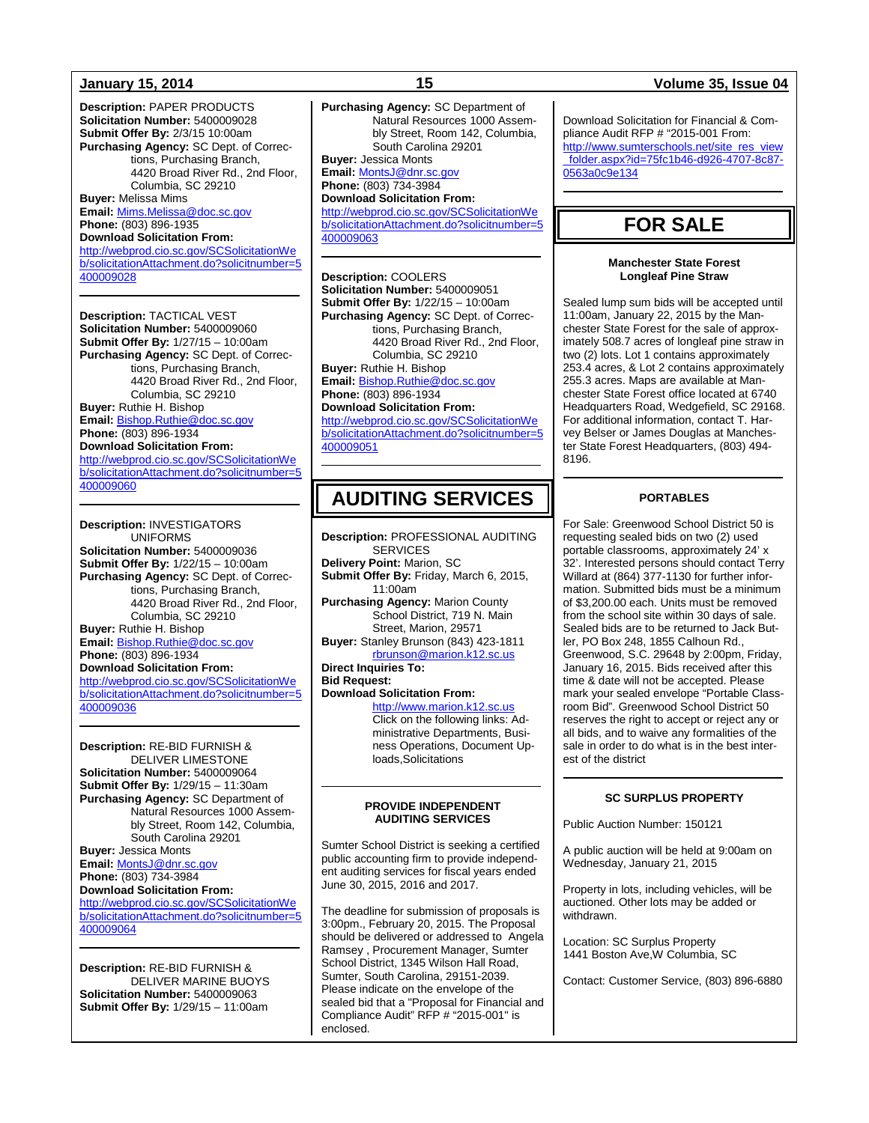**Description:** PAPER PRODUCTS **Solicitation Number:** 5400009028 **Submit Offer By:** 2/3/15 10:00am **Purchasing Agency:** SC Dept. of Corrections, Purchasing Branch, 4420 Broad River Rd., 2nd Floor, Columbia, SC 29210 **Buyer:** Melissa Mims **Email:** [Mims.Melissa@doc.sc.gov](mailto:Mims.Melissa@doc.sc.gov) **Phone:** (803) 896-1935 **Download Solicitation From:** [http://webprod.cio.sc.gov/SCSolicitationWe](http://webprod.cio.sc.gov/SCSolicitationWeb/solicitationAttachment.do?solicitnumber=5400009028) [b/solicitationAttachment.do?solicitnumber=5](http://webprod.cio.sc.gov/SCSolicitationWeb/solicitationAttachment.do?solicitnumber=5400009028) [400009028](http://webprod.cio.sc.gov/SCSolicitationWeb/solicitationAttachment.do?solicitnumber=5400009028) **Description:** TACTICAL VEST

**Solicitation Number:** 5400009060 **Submit Offer By:** 1/27/15 – 10:00am **Purchasing Agency:** SC Dept. of Corrections, Purchasing Branch, 4420 Broad River Rd., 2nd Floor, Columbia, SC 29210 **Buyer:** Ruthie H. Bishop **Email:** [Bishop.Ruthie@doc.sc.gov](mailto:Bishop.Ruthie@doc.sc.gov) **Phone:** (803) 896-1934 **Download Solicitation From:** [http://webprod.cio.sc.gov/SCSolicitationWe](http://webprod.cio.sc.gov/SCSolicitationWeb/solicitationAttachment.do?solicitnumber=5400009060)

[b/solicitationAttachment.do?solicitnumber=5](http://webprod.cio.sc.gov/SCSolicitationWeb/solicitationAttachment.do?solicitnumber=5400009060) [400009060](http://webprod.cio.sc.gov/SCSolicitationWeb/solicitationAttachment.do?solicitnumber=5400009060)

**Description:** INVESTIGATORS UNIFORMS **Solicitation Number:** 5400009036 **Submit Offer By:** 1/22/15 – 10:00am **Purchasing Agency:** SC Dept. of Corrections, Purchasing Branch, 4420 Broad River Rd., 2nd Floor, Columbia, SC 29210 **Buyer:** Ruthie H. Bishop **Email:** [Bishop.Ruthie@doc.sc.gov](mailto:Bishop.Ruthie@doc.sc.gov) **Phone:** (803) 896-1934 **Download Solicitation From:** [http://webprod.cio.sc.gov/SCSolicitationWe](http://webprod.cio.sc.gov/SCSolicitationWeb/solicitationAttachment.do?solicitnumber=5400009036) [b/solicitationAttachment.do?solicitnumber=5](http://webprod.cio.sc.gov/SCSolicitationWeb/solicitationAttachment.do?solicitnumber=5400009036) [400009036](http://webprod.cio.sc.gov/SCSolicitationWeb/solicitationAttachment.do?solicitnumber=5400009036)

**Description:** RE-BID FURNISH & DELIVER LIMESTONE **Solicitation Number:** 5400009064 **Submit Offer By:** 1/29/15 – 11:30am **Purchasing Agency:** SC Department of Natural Resources 1000 Assembly Street, Room 142, Columbia, South Carolina 29201 **Buyer:** Jessica Monts **Email:** [MontsJ@dnr.sc.gov](mailto:MontsJ@dnr.sc.gov) **Phone:** (803) 734-3984

### **Download Solicitation From:**

[http://webprod.cio.sc.gov/SCSolicitationWe](http://webprod.cio.sc.gov/SCSolicitationWeb/solicitationAttachment.do?solicitnumber=5400009064) [b/solicitationAttachment.do?solicitnumber=5](http://webprod.cio.sc.gov/SCSolicitationWeb/solicitationAttachment.do?solicitnumber=5400009064) [400009064](http://webprod.cio.sc.gov/SCSolicitationWeb/solicitationAttachment.do?solicitnumber=5400009064)

**Description:** RE-BID FURNISH & DELIVER MARINE BUOYS **Solicitation Number:** 5400009063 **Submit Offer By:** 1/29/15 – 11:00am

**Purchasing Agency:** SC Department of Natural Resources 1000 Assembly Street, Room 142, Columbia, South Carolina 29201 **Buyer:** Jessica Monts

### **Email:** [MontsJ@dnr.sc.gov](mailto:MontsJ@dnr.sc.gov)

**Phone:** (803) 734-3984 **Download Solicitation From:** [http://webprod.cio.sc.gov/SCSolicitationWe](http://webprod.cio.sc.gov/SCSolicitationWeb/solicitationAttachment.do?solicitnumber=5400009063) [b/solicitationAttachment.do?solicitnumber=5](http://webprod.cio.sc.gov/SCSolicitationWeb/solicitationAttachment.do?solicitnumber=5400009063) [400009063](http://webprod.cio.sc.gov/SCSolicitationWeb/solicitationAttachment.do?solicitnumber=5400009063)

**Description:** COOLERS **Solicitation Number:** 5400009051 **Submit Offer By:** 1/22/15 – 10:00am **Purchasing Agency:** SC Dept. of Corrections, Purchasing Branch, 4420 Broad River Rd., 2nd Floor, Columbia, SC 29210 **Buyer:** Ruthie H. Bishop **Email:** [Bishop.Ruthie@doc.sc.gov](mailto:Bishop.Ruthie@doc.sc.gov) **Phone:** (803) 896-1934 **Download Solicitation From:** [http://webprod.cio.sc.gov/SCSolicitationWe](http://webprod.cio.sc.gov/SCSolicitationWeb/solicitationAttachment.do?solicitnumber=5400009051) [b/solicitationAttachment.do?solicitnumber=5](http://webprod.cio.sc.gov/SCSolicitationWeb/solicitationAttachment.do?solicitnumber=5400009051) [400009051](http://webprod.cio.sc.gov/SCSolicitationWeb/solicitationAttachment.do?solicitnumber=5400009051)

## **AUDITING SERVICES**

**Description:** PROFESSIONAL AUDITING SERVICES **Delivery Point:** Marion, SC **Submit Offer By:** Friday, March 6, 2015, 11:00am **Purchasing Agency:** Marion County School District, 719 N. Main Street, Marion, 29571 **Buyer:** Stanley Brunson (843) 423-1811 [rbrunson@marion.k12.sc.us](mailto:rbrunson@marion.k12.sc.us) **Direct Inquiries To: Bid Request: Download Solicitation From:**

> [http://www.marion.k12.sc.us](http://www.marion.k12.sc.us/)  Click on the following links: Administrative Departments, Business Operations, Document Uploads,Solicitations

### **PROVIDE INDEPENDENT AUDITING SERVICES**

Sumter School District is seeking a certified public accounting firm to provide independent auditing services for fiscal years ended June 30, 2015, 2016 and 2017.

The deadline for submission of proposals is 3:00pm., February 20, 2015. The Proposal should be delivered or addressed to Angela Ramsey , Procurement Manager, Sumter School District, 1345 Wilson Hall Road, Sumter, South Carolina, 29151-2039. Please indicate on the envelope of the sealed bid that a "Proposal for Financial and Compliance Audit" RFP # "2015-001" is enclosed.

### **January 15, 2014 15 Volume 35, Issue 04**

Download Solicitation for Financial & Compliance Audit RFP # "2015-001 From: [http://www.sumterschools.net/site\\_res\\_view](http://www.sumterschools.net/site_res_view_folder.aspx?id=75fc1b46-d926-4707-8c87-0563a0c9e134) [\\_folder.aspx?id=75fc1b46-d926-4707-8c87-](http://www.sumterschools.net/site_res_view_folder.aspx?id=75fc1b46-d926-4707-8c87-0563a0c9e134) [0563a0c9e134](http://www.sumterschools.net/site_res_view_folder.aspx?id=75fc1b46-d926-4707-8c87-0563a0c9e134)

## **FOR SALE**

### **Manchester State Forest Longleaf Pine Straw**

Sealed lump sum bids will be accepted until 11:00am, January 22, 2015 by the Manchester State Forest for the sale of approximately 508.7 acres of longleaf pine straw in two (2) lots. Lot 1 contains approximately 253.4 acres, & Lot 2 contains approximately 255.3 acres. Maps are available at Manchester State Forest office located at 6740 Headquarters Road, Wedgefield, SC 29168. For additional information, contact T. Harvey Belser or James Douglas at Manchester State Forest Headquarters, (803) 494- 8196.

### **PORTABLES**

For Sale: Greenwood School District 50 is requesting sealed bids on two (2) used portable classrooms, approximately 24' x 32'. Interested persons should contact Terry Willard at (864) 377-1130 for further information. Submitted bids must be a minimum of \$3,200.00 each. Units must be removed from the school site within 30 days of sale. Sealed bids are to be returned to Jack Butler, PO Box 248, 1855 Calhoun Rd., Greenwood, S.C. 29648 by 2:00pm, Friday, January 16, 2015. Bids received after this time & date will not be accepted. Please mark your sealed envelope "Portable Classroom Bid". Greenwood School District 50 reserves the right to accept or reject any or all bids, and to waive any formalities of the sale in order to do what is in the best interest of the district

### **SC SURPLUS PROPERTY**

Public Auction Number: 150121

A public auction will be held at 9:00am on Wednesday, January 21, 2015

Property in lots, including vehicles, will be auctioned. Other lots may be added or withdrawn.

Location: SC Surplus Property 1441 Boston Ave,W Columbia, SC

Contact: Customer Service, (803) 896-6880